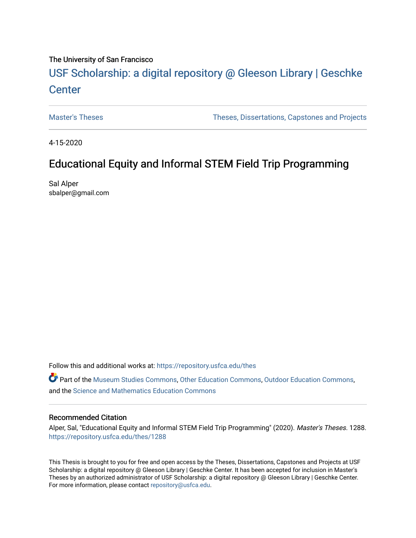# The University of San Francisco

# USF Scholarship: [a digital repository @ Gleeson Libr](https://repository.usfca.edu/)ary | Geschke **Center**

[Master's Theses](https://repository.usfca.edu/thes) [Theses, Dissertations, Capstones and Projects](https://repository.usfca.edu/etd) 

4-15-2020

# Educational Equity and Informal STEM Field Trip Programming

Sal Alper sbalper@gmail.com

Follow this and additional works at: [https://repository.usfca.edu/thes](https://repository.usfca.edu/thes?utm_source=repository.usfca.edu%2Fthes%2F1288&utm_medium=PDF&utm_campaign=PDFCoverPages) 

Part of the [Museum Studies Commons,](http://network.bepress.com/hgg/discipline/1366?utm_source=repository.usfca.edu%2Fthes%2F1288&utm_medium=PDF&utm_campaign=PDFCoverPages) [Other Education Commons,](http://network.bepress.com/hgg/discipline/811?utm_source=repository.usfca.edu%2Fthes%2F1288&utm_medium=PDF&utm_campaign=PDFCoverPages) [Outdoor Education Commons,](http://network.bepress.com/hgg/discipline/1381?utm_source=repository.usfca.edu%2Fthes%2F1288&utm_medium=PDF&utm_campaign=PDFCoverPages) and the [Science and Mathematics Education Commons](http://network.bepress.com/hgg/discipline/800?utm_source=repository.usfca.edu%2Fthes%2F1288&utm_medium=PDF&utm_campaign=PDFCoverPages) 

#### Recommended Citation

Alper, Sal, "Educational Equity and Informal STEM Field Trip Programming" (2020). Master's Theses. 1288. [https://repository.usfca.edu/thes/1288](https://repository.usfca.edu/thes/1288?utm_source=repository.usfca.edu%2Fthes%2F1288&utm_medium=PDF&utm_campaign=PDFCoverPages) 

This Thesis is brought to you for free and open access by the Theses, Dissertations, Capstones and Projects at USF Scholarship: a digital repository @ Gleeson Library | Geschke Center. It has been accepted for inclusion in Master's Theses by an authorized administrator of USF Scholarship: a digital repository @ Gleeson Library | Geschke Center. For more information, please contact [repository@usfca.edu](mailto:repository@usfca.edu).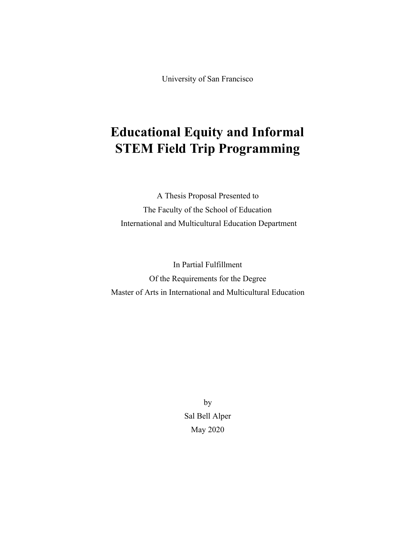University of San Francisco

# **Educational Equity and Informal STEM Field Trip Programming**

A Thesis Proposal Presented to The Faculty of the School of Education International and Multicultural Education Department

In Partial Fulfillment Of the Requirements for the Degree Master of Arts in International and Multicultural Education

> by Sal Bell Alper May 2020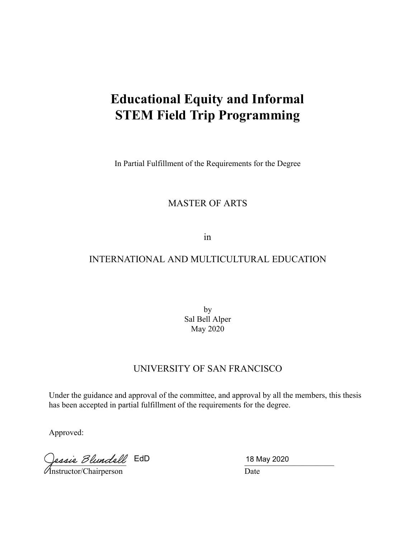# **Educational Equity and Informal STEM Field Trip Programming**

In Partial Fulfillment of the Requirements for the Degree

# MASTER OF ARTS

in

# INTERNATIONAL AND MULTICULTURAL EDUCATION

by Sal Bell Alper May 2020

# UNIVERSITY OF SAN FRANCISCO

Under the guidance and approval of the committee, and approval by all the members, this thesis has been accepted in partial fulfillment of the requirements for the degree.

Approved:

lessie *Blundell* EdD

Instructor/Chairperson Date

18 May 2020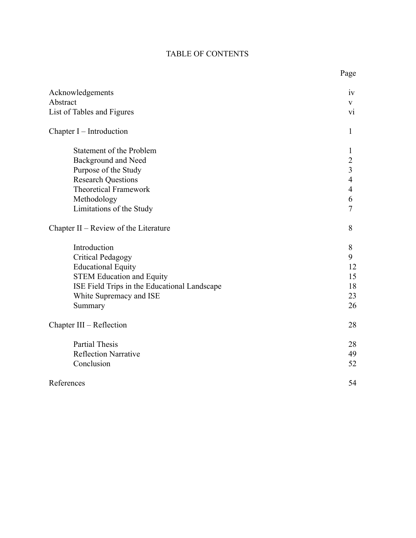# TABLE OF CONTENTS

| Acknowledgements                             | iv                      |
|----------------------------------------------|-------------------------|
| Abstract                                     | V                       |
| List of Tables and Figures                   | $\overline{vi}$         |
| Chapter I – Introduction                     | 1                       |
| Statement of the Problem                     | 1                       |
| Background and Need                          | $\overline{c}$          |
| Purpose of the Study                         | $\overline{\mathbf{3}}$ |
| <b>Research Questions</b>                    | $\overline{4}$          |
| <b>Theoretical Framework</b>                 | $\overline{4}$          |
| Methodology                                  | 6                       |
| Limitations of the Study                     | $\overline{7}$          |
| Chapter II – Review of the Literature        | 8                       |
| Introduction                                 | 8                       |
| <b>Critical Pedagogy</b>                     | 9                       |
| <b>Educational Equity</b>                    | 12                      |
| <b>STEM Education and Equity</b>             | 15                      |
| ISE Field Trips in the Educational Landscape | 18                      |
| White Supremacy and ISE                      | 23                      |
| Summary                                      | 26                      |
| Chapter III – Reflection                     | 28                      |
| <b>Partial Thesis</b>                        | 28                      |
| <b>Reflection Narrative</b>                  | 49                      |
| Conclusion                                   | 52                      |
| References                                   | 54                      |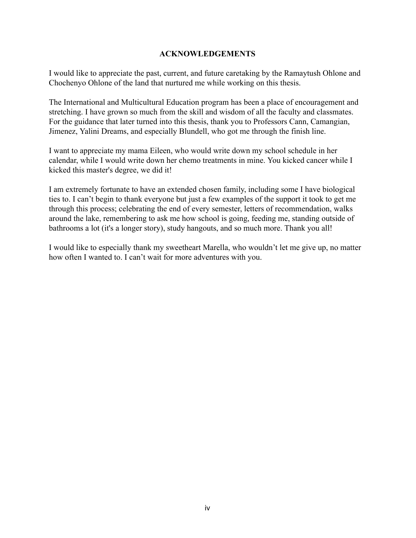# **ACKNOWLEDGEMENTS**

I would like to appreciate the past, current, and future caretaking by the Ramaytush Ohlone and Chochenyo Ohlone of the land that nurtured me while working on this thesis.

The International and Multicultural Education program has been a place of encouragement and stretching. I have grown so much from the skill and wisdom of all the faculty and classmates. For the guidance that later turned into this thesis, thank you to Professors Cann, Camangian, Jimenez, Yalini Dreams, and especially Blundell, who got me through the finish line.

I want to appreciate my mama Eileen, who would write down my school schedule in her calendar, while I would write down her chemo treatments in mine. You kicked cancer while I kicked this master's degree, we did it!

I am extremely fortunate to have an extended chosen family, including some I have biological ties to. I can't begin to thank everyone but just a few examples of the support it took to get me through this process; celebrating the end of every semester, letters of recommendation, walks around the lake, remembering to ask me how school is going, feeding me, standing outside of bathrooms a lot (it's a longer story), study hangouts, and so much more. Thank you all!

I would like to especially thank my sweetheart Marella, who wouldn't let me give up, no matter how often I wanted to. I can't wait for more adventures with you.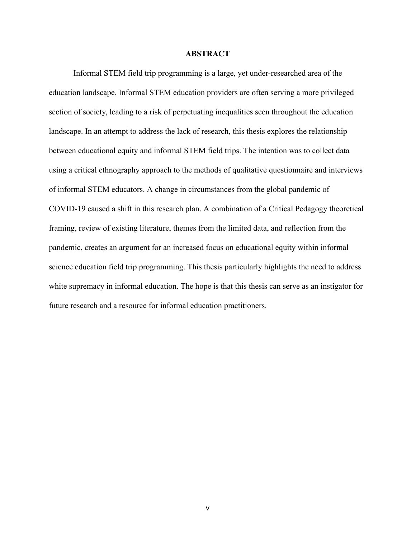## **ABSTRACT**

Informal STEM field trip programming is a large, yet under-researched area of the education landscape. Informal STEM education providers are often serving a more privileged section of society, leading to a risk of perpetuating inequalities seen throughout the education landscape. In an attempt to address the lack of research, this thesis explores the relationship between educational equity and informal STEM field trips. The intention was to collect data using a critical ethnography approach to the methods of qualitative questionnaire and interviews of informal STEM educators. A change in circumstances from the global pandemic of COVID-19 caused a shift in this research plan. A combination of a Critical Pedagogy theoretical framing, review of existing literature, themes from the limited data, and reflection from the pandemic, creates an argument for an increased focus on educational equity within informal science education field trip programming. This thesis particularly highlights the need to address white supremacy in informal education. The hope is that this thesis can serve as an instigator for future research and a resource for informal education practitioners.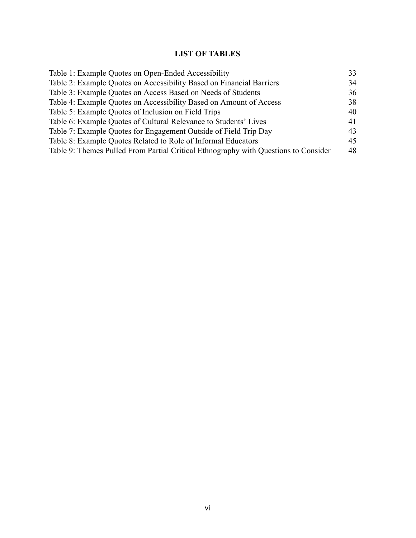# **LIST OF TABLES**

| Table 1: Example Quotes on Open-Ended Accessibility                                 | 33 |
|-------------------------------------------------------------------------------------|----|
| Table 2: Example Quotes on Accessibility Based on Financial Barriers                | 34 |
| Table 3: Example Quotes on Access Based on Needs of Students                        | 36 |
| Table 4: Example Quotes on Accessibility Based on Amount of Access                  | 38 |
| Table 5: Example Quotes of Inclusion on Field Trips                                 | 40 |
| Table 6: Example Quotes of Cultural Relevance to Students' Lives                    | 41 |
| Table 7: Example Quotes for Engagement Outside of Field Trip Day                    | 43 |
| Table 8: Example Quotes Related to Role of Informal Educators                       | 45 |
| Table 9: Themes Pulled From Partial Critical Ethnography with Questions to Consider | 48 |
|                                                                                     |    |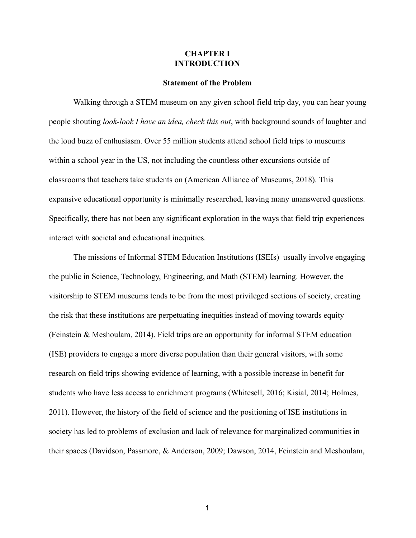## **CHAPTER I INTRODUCTION**

#### **Statement of the Problem**

Walking through a STEM museum on any given school field trip day, you can hear young people shouting *look-look I have an idea, check this out* , with background sounds of laughter and the loud buzz of enthusiasm. Over 55 million students attend school field trips to museums within a school year in the US, not including the countless other excursions outside of classrooms that teachers take students on ( American Alliance of Museums, 2018). This expansive educational opportunity is minimally researched, leaving many unanswered questions. Specifically, there has not been any significant exploration in the ways that field trip experiences interact with societal and educational inequities.

The missions of Informal STEM Education Institutions (ISEIs) usually involve engaging the public in Science, Technology, Engineering, and Math (STEM) learning. However, the visitorship to STEM museums tends to be from the most privileged sections of society, creating the risk that these institutions are perpetuating inequities instead of moving towards equity (Feinstein & Meshoulam, 2014) . Field trips are an opportunity for informal STEM education (ISE) providers to engage a more diverse population than their general visitors, with some research on field trips showing evidence of learning, with a possible increase in benefit for students who have less access to enrichment programs (Whitesell, 2016; Kisial, 2014; Holmes, 2011). However, the history of the field of science and the positioning of ISE institutions in society has led to problems of exclusion and lack of relevance for marginalized communities in their spaces (Davidson, Passmore, & Anderson, 2009; Dawson, 2014, Feinstein and Meshoulam,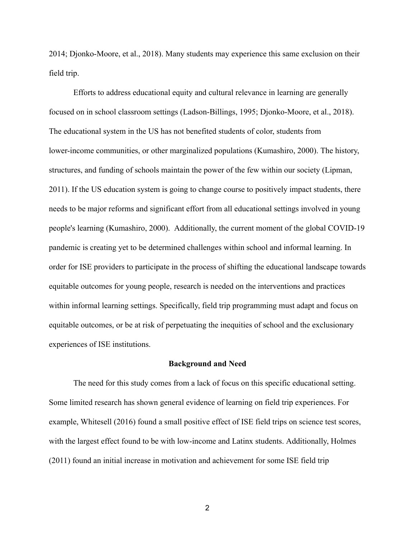2014; Djonko-Moore, et al., 2018). Many students may experience this same exclusion on their field trip.

Efforts to address educational equity and cultural relevance in learning are generally focused on in school classroom settings (Ladson-Billings, 1995; Djonko-Moore, et al., 2018). The educational system in the US has not benefited students of color, students from lower-income communities, or other marginalized populations (Kumashiro, 2000). The history, structures, and funding of schools maintain the power of the few within our society (Lipman, 2011). If the US education system is going to change course to positively impact students, there needs to be major reforms and significant effort from all educational settings involved in young people's learning (Kumashiro, 2000). Additionally, the current moment of the global COVID-19 pandemic is creating yet to be determined challenges within school and informal learning. In order for ISE providers to participate in the process of shifting the educational landscape towards equitable outcomes for young people, research is needed on the interventions and practices within informal learning settings. Specifically, field trip programming must adapt and focus on equitable outcomes, or be at risk of perpetuating the inequities of school and the exclusionary experiences of ISE institutions.

#### **Background and Need**

The need for this study comes from a lack of focus on this specific educational setting. Some limited research has shown general evidence of learning on field trip experiences. For example, Whitesell (2016) found a small positive effect of ISE field trips on science test scores, with the largest effect found to be with low-income and Latinx students. Additionally, Holmes (2011) found an initial increase in motivation and achievement for some ISE field trip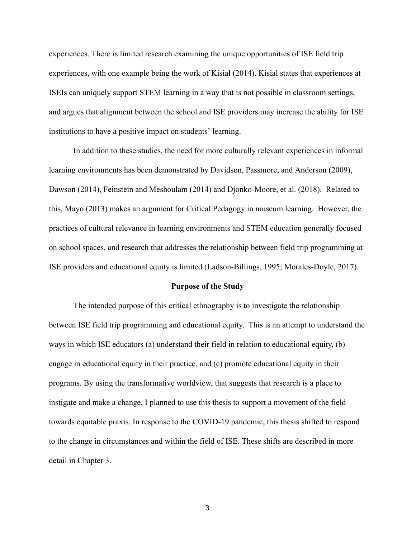experiences. There is limited research examining the unique opportunities of ISE field trip experiences, with one example being the work of Kisial (2014). Kisial states that experiences at ISEIs can uniquely support STEM learning in a way that is not possible in classroom settings, and argues that alignment between the school and ISE providers may increase the ability for ISE institutions to have a positive impact on students' learning.

In addition to these studies, the need for more culturally relevant experiences in informal learning environments has been demonstrated by Davidson, Passmore, and Anderson (2009), Dawson (2014), Feinstein and Meshoulam (2014) and Djonko-Moore, et al. (2018). Related to this, Mayo (2013) makes an argument for Critical Pedagogy in museum learning. However, the practices of cultural relevance in learning environments and STEM education generally focused on school spaces, and research that addresses the relationship between field trip programming at ISE providers and educational equity is limited (Ladson-Billings, 1995; Morales-Doyle, 2017).

#### **Purpose of the Study**

The intended purpose of this critical ethnography is to investigate the relationship between ISE field trip programming and educational equity. This is an attempt to understand the ways in which ISE educators (a) understand their field in relation to educational equity, (b) engage in educational equity in their practice, and (c) promote educational equity in their programs. By using the transformative worldview, that suggests that research is a place to instigate and make a change, I planned to use this thesis to support a movement of the field towards equitable praxis. In response to the COVID-19 pandemic, this thesis shifted to respond to the change in circumstances and within the field of ISE. These shifts are described in more detail in Chapter 3.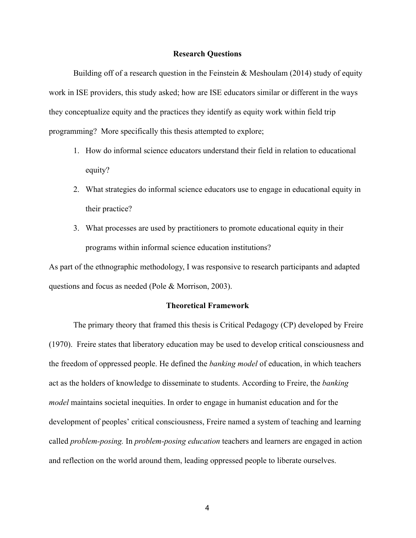#### **Research Questions**

Building off of a research question in the Feinstein  $\&$  Meshoulam (2014) study of equity work in ISE providers, this study asked; how are ISE educators similar or different in the ways they conceptualize equity and the practices they identify as equity work within field trip programming? More specifically this thesis attempted to explore;

- 1. How do informal science educators understand their field in relation to educational equity?
- 2. What strategies do informal science educators use to engage in educational equity in their practice?
- 3. What processes are used by practitioners to promote educational equity in their programs within informal science education institutions?

As part of the ethnographic methodology, I was responsive to research participants and adapted questions and focus as needed (Pole & Morrison, 2003).

#### **Theoretical Framework**

The primary theory that framed this thesis is Critical Pedagogy (CP) developed by Freire (1970). Freire states that liberatory education may be used to develop critical consciousness and the freedom of oppressed people. He defined the *banking model* of education, in which teachers act as the holders of knowledge to disseminate to students. According to Freire, the *banking model* maintains societal inequities. In order to engage in humanist education and for the development of peoples' critical consciousness, Freire named a system of teaching and learning called *problem-posing.* In *problem-posing education* teachers and learners are engaged in action and reflection on the world around them, leading oppressed people to liberate ourselves.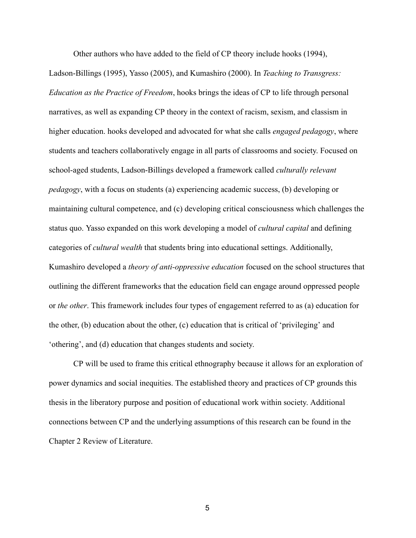Other authors who have added to the field of CP theory include hooks (1994),

Ladson-Billings (1995), Yasso (2005), and Kumashiro (2000). In *Teaching to Transgress: Education as the Practice of Freedom,* hooks brings the ideas of CP to life through personal narratives, as well as expanding CP theory in the context of racism, sexism, and classism in higher education. hooks developed and advocated for what she calls *engaged pedagogy* , where students and teachers collaboratively engage in all parts of classrooms and society. Focused on school-aged students, Ladson-Billings developed a framework called *culturally relevant pedagogy*, with a focus on students (a) experiencing academic success, (b) developing or maintaining cultural competence, and (c) developing critical consciousness which challenges the status quo. Yasso expanded on this work developing a model of *cultural capital* and defining categories of *cultural wealth* that students bring into educational settings. Additionally, Kumashiro developed a *theory of anti-oppressive education* focused on the school structures that outlining the different frameworks that the education field can engage around oppressed people or *the other* . This framework includes four types of engagement referred to as (a) education for the other, (b) education about the other, (c) education that is critical of 'privileging' and 'othering', and (d) education that changes students and society.

CP will be used to frame this critical ethnography because it allows for an exploration of power dynamics and social inequities. The established theory and practices of CP grounds this thesis in the liberatory purpose and position of educational work within society. Additional connections between CP and the underlying assumptions of this research can be found in the Chapter 2 Review of Literature.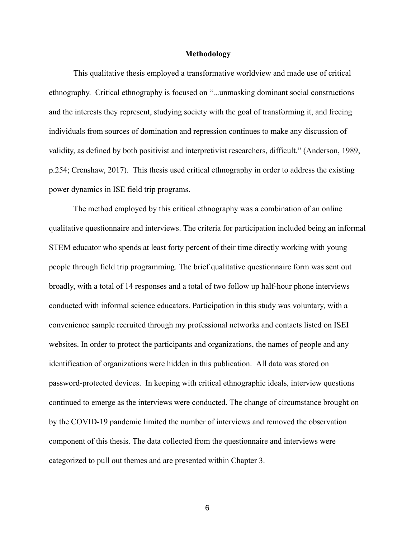#### **Methodology**

This qualitative thesis employed a transformative worldview and made use of critical ethnography. Critical ethnography is focused on "...unmasking dominant social constructions and the interests they represent, studying society with the goal of transforming it, and freeing individuals from sources of domination and repression continues to make any discussion of validity, as defined by both positivist and interpretivist researchers, difficult." (Anderson, 1989, p.254; Crenshaw, 2017). This thesis used critical ethnography in order to address the existing power dynamics in ISE field trip programs.

The method employed by this critical ethnography was a combination of an online qualitative questionnaire and interviews. The criteria for participation included being an informal STEM educator who spends at least forty percent of their time directly working with young people through field trip programming. The brief qualitative questionnaire form was sent out broadly, with a total of 14 responses and a total of two follow up half-hour phone interviews conducted with informal science educators. Participation in this study was voluntary, with a convenience sample recruited through my professional networks and contacts listed on ISEI websites. In order to protect the participants and organizations, the names of people and any identification of organizations were hidden in this publication. All data was stored on password-protected devices. In keeping with critical ethnographic ideals, interview questions continued to emerge as the interviews were conducted. The change of circumstance brought on by the COVID-19 pandemic limited the number of interviews and removed the observation component of this thesis. The data collected from the questionnaire and interviews were categorized to pull out themes and are presented within Chapter 3.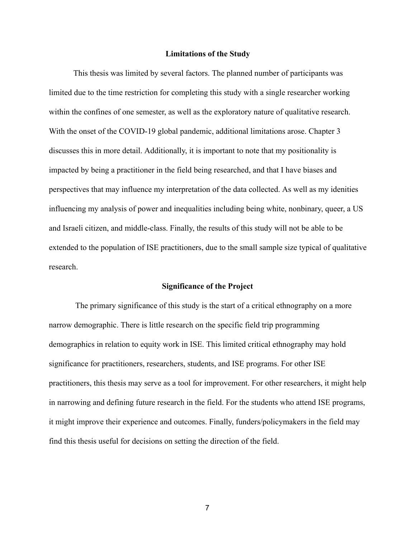#### **Limitations of the Study**

This thesis was limited by several factors. The planned number of participants was limited due to the time restriction for completing this study with a single researcher working within the confines of one semester, as well as the exploratory nature of qualitative research. With the onset of the COVID-19 global pandemic, additional limitations arose. Chapter 3 discusses this in more detail. Additionally, it is important to note that my positionality is impacted by being a practitioner in the field being researched, and that I have biases and perspectives that may influence my interpretation of the data collected. As well as my idenities influencing my analysis of power and inequalities including being white, nonbinary, queer, a US and Israeli citizen, and middle-class. Finally, the results of this study will not be able to be extended to the population of ISE practitioners, due to the small sample size typical of qualitative research.

#### **Significance of the Project**

 The primary significance of this study is the start of a critical ethnography on a more narrow demographic. There is little research on the specific field trip programming demographics in relation to equity work in ISE. This limited critical ethnography may hold significance for practitioners, researchers, students, and ISE programs. For other ISE practitioners, this thesis may serve as a tool for improvement. For other researchers, it might help in narrowing and defining future research in the field. For the students who attend ISE programs, it might improve their experience and outcomes. Finally, funders/policymakers in the field may find this thesis useful for decisions on setting the direction of the field.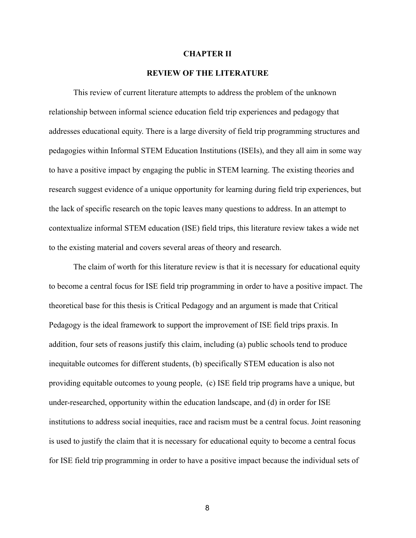#### **CHAPTER II**

#### **REVIEW OF THE LITERATURE**

This review of current literature attempts to address the problem of the unknown relationship between informal science education field trip experiences and pedagogy that addresses educational equity. There is a large diversity of field trip programming structures and pedagogies within Informal STEM Education Institutions (ISEIs), and they all aim in some way to have a positive impact by engaging the public in STEM learning. The existing theories and research suggest evidence of a unique opportunity for learning during field trip experiences, but the lack of specific research on the topic leaves many questions to address. In an attempt to contextualize informal STEM education (ISE) field trips, this literature review takes a wide net to the existing material and covers several areas of theory and research.

The claim of worth for this literature review is that it is necessary for educational equity to become a central focus for ISE field trip programming in order to have a positive impact. The theoretical base for this thesis is Critical Pedagogy and an argument is made that Critical Pedagogy is the ideal framework to support the improvement of ISE field trips praxis. In addition, four sets of reasons justify this claim, including (a) public schools tend to produce inequitable outcomes for different students, (b) specifically STEM education is also not providing equitable outcomes to young people, (c) ISE field trip programs have a unique, but under-researched, opportunity within the education landscape, and (d) in order for ISE institutions to address social inequities, race and racism must be a central focus. Joint reasoning is used to justify the claim that it is necessary for educational equity to become a central focus for ISE field trip programming in order to have a positive impact because the individual sets of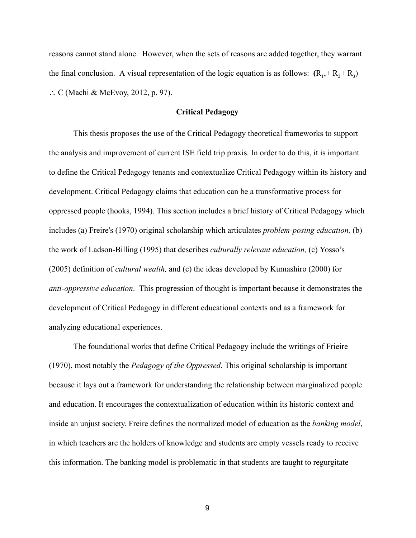reasons cannot stand alone. However, when the sets of reasons are added together, they warrant the final conclusion. A visual representation of the logic equation is as follows:  $(R_1, + R_2 + R_3)$ ∴ C (Machi & McEvoy, 2012, p. 97).

## **Critical Pedagogy**

This thesis proposes the use of the Critical Pedagogy theoretical frameworks to support the analysis and improvement of current ISE field trip praxis. In order to do this, it is important to define the Critical Pedagogy tenants and contextualize Critical Pedagogy within its history and development. Critical Pedagogy claims that education can be a transformative process for oppressed people (hooks, 1994). This section includes a brief history of Critical Pedagogy which includes (a) Freire's (1970) original scholarship which articulates *problem-posing education,* (b) the work of Ladson-Billing (1995) that describes *culturally relevant education,* (c) Yosso's (2005) definition of *cultural wealth,* and (c) the ideas developed by Kumashiro (2000) for *anti-oppressive education.* This progression of thought is important because it demonstrates the development of Critical Pedagogy in different educational contexts and as a framework for analyzing educational experiences.

The foundational works that define Critical Pedagogy include the writings of Frieire (1970), most notably the *Pedagogy of the Oppressed* . This original scholarship is important because it lays out a framework for understanding the relationship between marginalized people and education. It encourages the contextualization of education within its historic context and inside an unjust society. Freire defines the normalized model of education as the *banking model*, in which teachers are the holders of knowledge and students are empty vessels ready to receive this information. The banking model is problematic in that students are taught to regurgitate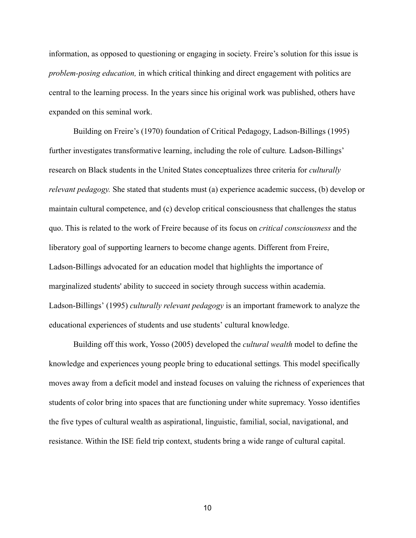information, as opposed to questioning or engaging in society. Freire's solution for this issue is *problem-posing education,* in which critical thinking and direct engagement with politics are central to the learning process. In the years since his original work was published, others have expanded on this seminal work.

Building on Freire's (1970) foundation of Critical Pedagogy, Ladson-Billings (1995) further investigates transformative learning, including the role of culture *.* Ladson-Billings' research on Black students in the United States conceptualizes three criteria for *culturally relevant pedagogy.* She stated that students must (a) experience academic success, (b) develop or maintain cultural competence, and (c) develop critical consciousness that challenges the status quo. This is related to the work of Freire because of its focus on *critical consciousness* and the liberatory goal of supporting learners to become change agents. Different from Freire, Ladson-Billings advocated for an education model that highlights the importance of marginalized students' ability to succeed in society through success within academia. Ladson-Billings' (1995) *culturally relevant pedagogy* is an important framework to analyze the educational experiences of students and use students' cultural knowledge.

Building off this work, Yosso (2005) developed the *cultural wealth* model to define the knowledge and experiences young people bring to educational settings *.* This model specifically moves away from a deficit model and instead focuses on valuing the richness of experiences that students of color bring into spaces that are functioning under white supremacy. Yosso identifies the five types of cultural wealth as aspirational, linguistic, familial, social, navigational, and resistance. Within the ISE field trip context, students bring a wide range of cultural capital.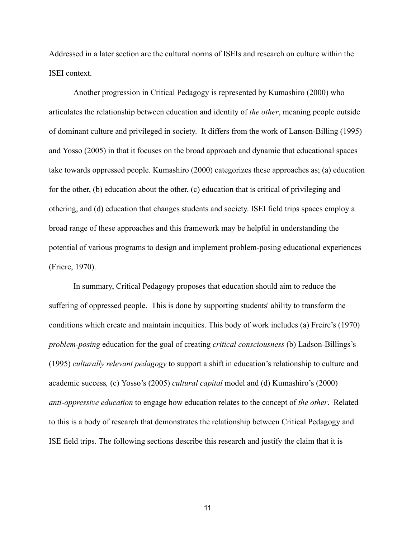Addressed in a later section are the cultural norms of ISEIs and research on culture within the ISEI context.

Another progression in Critical Pedagogy is represented by Kumashiro (2000) who articulates the relationship between education and identity of *the other* , meaning people outside of dominant culture and privileged in society. It differs from the work of Lanson-Billing (1995) and Yosso (2005) in that it focuses on the broad approach and dynamic that educational spaces take towards oppressed people. Kumashiro (2000) categorizes these approaches as; (a) education for the other, (b) education about the other, (c) education that is critical of privileging and othering, and (d) education that changes students and society. ISEI field trips spaces employ a broad range of these approaches and this framework may be helpful in understanding the potential of various programs to design and implement problem-posing educational experiences (Friere, 1970).

In summary, Critical Pedagogy proposes that education should aim to reduce the suffering of oppressed people. This is done by supporting students' ability to transform the conditions which create and maintain inequities. This body of work includes (a) Freire's (1970) *problem-posing* education for the goal of creating *critical consciousness* (b) Ladson-Billings's (1995) *culturally relevant pedagogy* to support a shift in education's relationship to culture and academic success *,* (c) Yosso's (2005) *cultural capital* model and (d) Kumashiro's (2000) *anti-oppressive education* to engage how education relates to the concept of *the other* . Related to this is a body of research that demonstrates the relationship between Critical Pedagogy and ISE field trips. The following sections describe this research and justify the claim that it is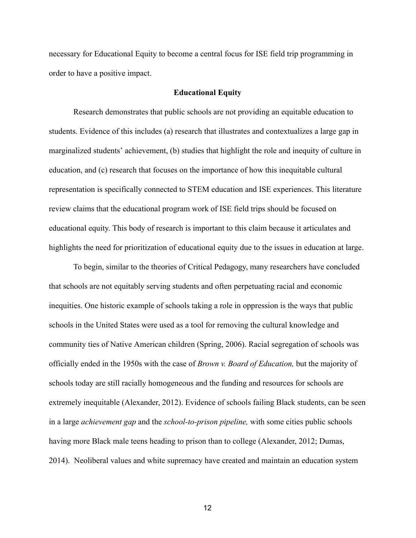necessary for Educational Equity to become a central focus for ISE field trip programming in order to have a positive impact.

#### **Educational Equity**

Research demonstrates that public schools are not providing an equitable education to students. Evidence of this includes (a) research that illustrates and contextualizes a large gap in marginalized students' achievement, (b) studies that highlight the role and inequity of culture in education, and (c) research that focuses on the importance of how this inequitable cultural representation is specifically connected to STEM education and ISE experiences. This literature review claims that the educational program work of ISE field trips should be focused on educational equity. This body of research is important to this claim because it articulates and highlights the need for prioritization of educational equity due to the issues in education at large.

To begin, similar to the theories of Critical Pedagogy, many researchers have concluded that schools are not equitably serving students and often perpetuating racial and economic inequities. One historic example of schools taking a role in oppression is the ways that public schools in the United States were used as a tool for removing the cultural knowledge and community ties of Native American children (Spring, 2006). Racial segregation of schools was officially ended in the 1950s with the case of *Brown v. Board of Education,* but the majority of schools today are still racially homogeneous and the funding and resources for schools are extremely inequitable (Alexander, 2012). Evidence of schools failing Black students, can be seen in a large *achievement gap* and the *school-to-prison pipeline,* with some cities public schools having more Black male teens heading to prison than to college (Alexander, 2012; Dumas, 2014). Neoliberal values and white supremacy have created and maintain an education system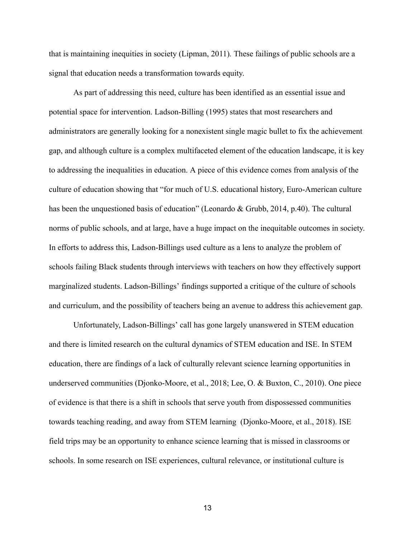that is maintaining inequities in society (Lipman, 2011) *.* These failings of public schools are a signal that education needs a transformation towards equity.

As part of addressing this need, culture has been identified as an essential issue and potential space for intervention. Ladson-Billing (1995) states that most researchers and administrators are generally looking for a nonexistent single magic bullet to fix the achievement gap, and although culture is a complex multifaceted element of the education landscape, it is key to addressing the inequalities in education. A piece of this evidence comes from analysis of the culture of education showing that "for much of U.S. educational history, Euro-American culture has been the unquestioned basis of education" (Leonardo & Grubb, 2014, p.40). The cultural norms of public schools, and at large, have a huge impact on the inequitable outcomes in society. In efforts to address this, Ladson-Billings used culture as a lens to analyze the problem of schools failing Black students through interviews with teachers on how they effectively support marginalized students. Ladson-Billings' findings supported a critique of the culture of schools and curriculum, and the possibility of teachers being an avenue to address this achievement gap.

Unfortunately, Ladson-Billings' call has gone largely unanswered in STEM education and there is limited research on the cultural dynamics of STEM education and ISE. In STEM education, there are findings of a lack of culturally relevant science learning opportunities in underserved communities (Djonko-Moore, et al., 2018; Lee, O. & Buxton, C., 2010). One piece of evidence is that there is a shift in schools that serve youth from dispossessed communities towards teaching reading, and away from STEM learning (Djonko-Moore, et al., 2018) . ISE field trips may be an opportunity to enhance science learning that is missed in classrooms or schools. In some research on ISE experiences, cultural relevance, or institutional culture is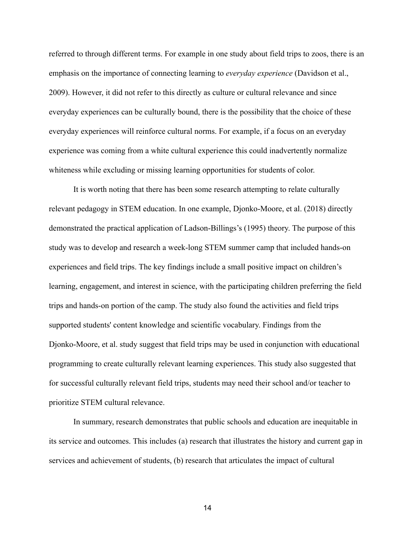referred to through different terms. For example in one study about field trips to zoos, there is an emphasis on the importance of connecting learning to *everyday experience* (Davidson et al., 2009). However, it did not refer to this directly as culture or cultural relevance and since everyday experiences can be culturally bound, there is the possibility that the choice of these everyday experiences will reinforce cultural norms. For example, if a focus on an everyday experience was coming from a white cultural experience this could inadvertently normalize whiteness while excluding or missing learning opportunities for students of color.

It is worth noting that there has been some research attempting to relate culturally relevant pedagogy in STEM education. In one example, Djonko-Moore, et al. (2018) directly demonstrated the practical application of Ladson-Billings's (1995) theory. The purpose of this study was to develop and research a week-long STEM summer camp that included hands-on experiences and field trips. The key findings include a small positive impact on children's learning, engagement, and interest in science, with the participating children preferring the field trips and hands-on portion of the camp. The study also found the activities and field trips supported students' content knowledge and scientific vocabulary. Findings from the Djonko-Moore, et al. study suggest that field trips may be used in conjunction with educational programming to create culturally relevant learning experiences. This study also suggested that for successful culturally relevant field trips, students may need their school and/or teacher to prioritize STEM cultural relevance.

In summary, research demonstrates that public schools and education are inequitable in its service and outcomes. This includes (a) research that illustrates the history and current gap in services and achievement of students, (b) research that articulates the impact of cultural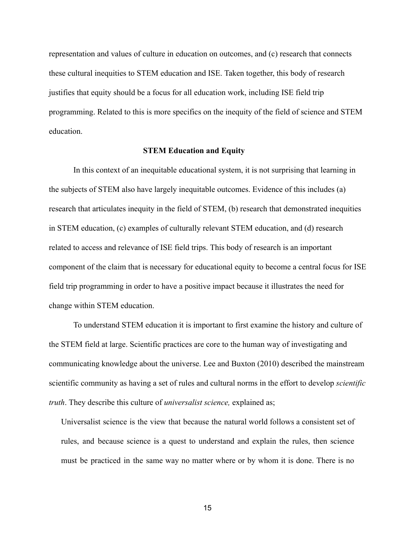representation and values of culture in education on outcomes, and (c) research that connects these cultural inequities to STEM education and ISE. Taken together, this body of research justifies that equity should be a focus for all education work, including ISE field trip programming. Related to this is more specifics on the inequity of the field of science and STEM education.

#### **STEM Education and Equity**

In this context of an inequitable educational system, it is not surprising that learning in the subjects of STEM also have largely inequitable outcomes. Evidence of this includes (a) research that articulates inequity in the field of STEM, (b) research that demonstrated inequities in STEM education, (c) examples of culturally relevant STEM education, and (d) research related to access and relevance of ISE field trips. This body of research is an important component of the claim that is necessary for educational equity to become a central focus for ISE field trip programming in order to have a positive impact because it illustrates the need for change within STEM education.

To understand STEM education it is important to first examine the history and culture of the STEM field at large. Scientific practices are core to the human way of investigating and communicating knowledge about the universe. Lee and Buxton (2010) described the mainstream scientific community as having a set of rules and cultural norms in the effort to develop *scientific truth*. They describe this culture of *universalist science*, explained as;

Universalist science is the view that because the natural world follows a consistent set of rules, and because science is a quest to understand and explain the rules, then science must be practiced in the same way no matter where or by whom it is done. There is no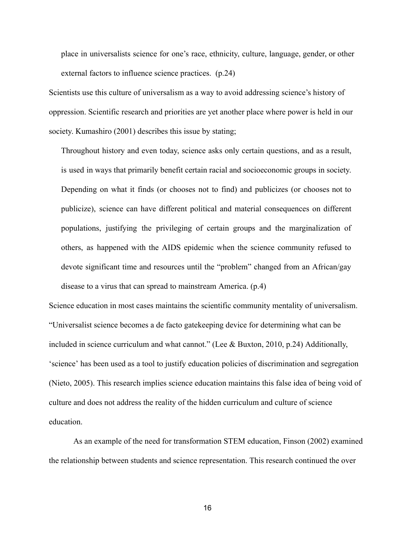place in universalists science for one's race, ethnicity, culture, language, gender, or other external factors to influence science practices. (p.24)

Scientists use this culture of universalism as a way to avoid addressing science's history of oppression. Scientific research and priorities are yet another place where power is held in our society. Kumashiro (2001) describes this issue by stating;

Throughout history and even today, science asks only certain questions, and as a result, is used in ways that primarily benefit certain racial and socioeconomic groups in society. Depending on what it finds (or chooses not to find) and publicizes (or chooses not to publicize), science can have different political and material consequences on different populations, justifying the privileging of certain groups and the marginalization of others, as happened with the AIDS epidemic when the science community refused to devote significant time and resources until the "problem" changed from an African/gay disease to a virus that can spread to mainstream America. (p.4)

Science education in most cases maintains the scientific community mentality of universalism. "Universalist science becomes a de facto gatekeeping device for determining what can be included in science curriculum and what cannot." (Lee & Buxton, 2010, p.24) Additionally, 'science' has been used as a tool to justify education policies of discrimination and segregation (Nieto, 2005). This research implies science education maintains this false idea of being void of culture and does not address the reality of the hidden curriculum and culture of science education.

As an example of the need for transformation STEM education, Finson (2002) examined the relationship between students and science representation. This research continued the over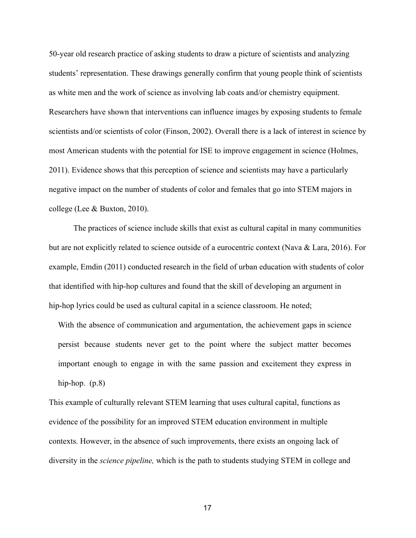50-year old research practice of asking students to draw a picture of scientists and analyzing students' representation. These drawings generally confirm that young people think of scientists as white men and the work of science as involving lab coats and/or chemistry equipment. Researchers have shown that interventions can influence images by exposing students to female scientists and/or scientists of color (Finson, 2002). Overall there is a lack of interest in science by most American students with the potential for ISE to improve engagement in science (Holmes, 2011). Evidence shows that this perception of science and scientists may have a particularly negative impact on the number of students of color and females that go into STEM majors in college (Lee & Buxton, 2010).

The practices of science include skills that exist as cultural capital in many communities but are not explicitly related to science outside of a eurocentric context (Nava & Lara, 2016). For example, Emdin (2011) conducted research in the field of urban education with students of color that identified with hip-hop cultures and found that the skill of developing an argument in hip-hop lyrics could be used as cultural capital in a science classroom. He noted;

With the absence of communication and argumentation, the achievement gaps in science persist because students never get to the point where the subject matter becomes important enough to engage in with the same passion and excitement they express in hip-hop.  $(p.8)$ 

This example of culturally relevant STEM learning that uses cultural capital, functions as evidence of the possibility for an improved STEM education environment in multiple contexts. However, in the absence of such improvements, there exists an ongoing lack of diversity in the *science pipeline,* which is the path to students studying STEM in college and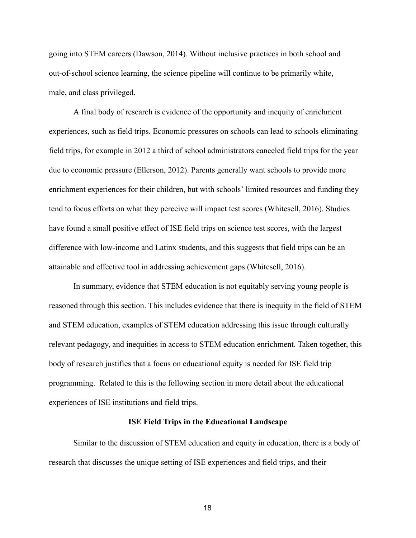going into STEM careers (Dawson, 2014). Without inclusive practices in both school and out-of-school science learning, the science pipeline will continue to be primarily white, male, and class privileged.

A final body of research is evidence of the opportunity and inequity of enrichment experiences, such as field trips. Economic pressures on schools can lead to schools eliminating field trips, for example in 2012 a third of school administrators canceled field trips for the year due to economic pressure ( Ellerson, 2012). Parents generally want schools to provide more enrichment experiences for their children, but with schools' limited resources and funding they tend to focus efforts on what they perceive will impact test scores (Whitesell, 2016). Studies have found a small positive effect of ISE field trips on science test scores, with the largest difference with low-income and Latinx students, and this suggests that field trips can be an attainable and effective tool in addressing achievement gaps (Whitesell, 2016).

In summary, evidence that STEM education is not equitably serving young people is reasoned through this section. This includes evidence that there is inequity in the field of STEM and STEM education, examples of STEM education addressing this issue through culturally relevant pedagogy, and inequities in access to STEM education enrichment. Taken together, this body of research justifies that a focus on educational equity is needed for ISE field trip programming. Related to this is the following section in more detail about the educational experiences of ISE institutions and field trips.

#### **ISE Field Trips in the Educational Landscape**

Similar to the discussion of STEM education and equity in education, there is a body of research that discusses the unique setting of ISE experiences and field trips, and their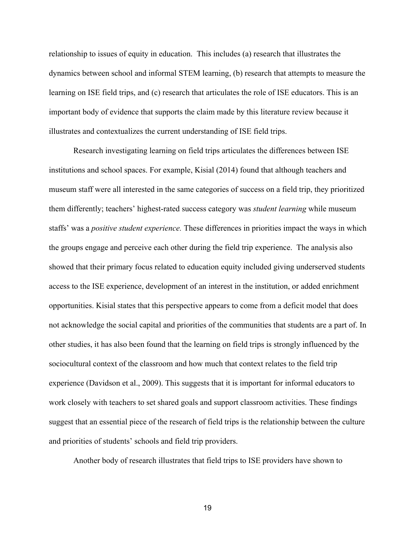relationship to issues of equity in education. This includes (a) research that illustrates the dynamics between school and informal STEM learning, (b) research that attempts to measure the learning on ISE field trips, and (c) research that articulates the role of ISE educators. This is an important body of evidence that supports the claim made by this literature review because it illustrates and contextualizes the current understanding of ISE field trips.

Research investigating learning on field trips articulates the differences between ISE institutions and school spaces. For example, Kisial (2014) found that although teachers and museum staff were all interested in the same categories of success on a field trip, they prioritized them differently; teachers' highest-rated success category was *student learning* while museum staffs' was a *positive student experience.* These differences in priorities impact the ways in which the groups engage and perceive each other during the field trip experience. The analysis also showed that their primary focus related to education equity included giving underserved students access to the ISE experience, development of an interest in the institution, or added enrichment opportunities. Kisial states that this perspective appears to come from a deficit model that does not acknowledge the social capital and priorities of the communities that students are a part of. In other studies, it has also been found that the learning on field trips is strongly influenced by the sociocultural context of the classroom and how much that context relates to the field trip experience (Davidson et al., 2009). This suggests that it is important for informal educators to work closely with teachers to set shared goals and support classroom activities. These findings suggest that an essential piece of the research of field trips is the relationship between the culture and priorities of students' schools and field trip providers.

Another body of research illustrates that field trips to ISE providers have shown to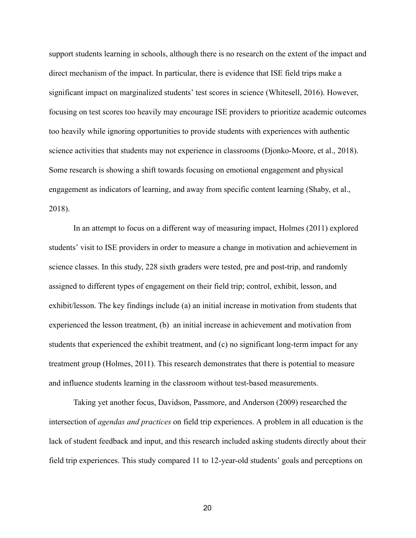support students learning in schools, although there is no research on the extent of the impact and direct mechanism of the impact. In particular, there is evidence that ISE field trips make a significant impact on marginalized students' test scores in science (Whitesell, 2016). However, focusing on test scores too heavily may encourage ISE providers to prioritize academic outcomes too heavily while ignoring opportunities to provide students with experiences with authentic science activities that students may not experience in classrooms (Djonko-Moore, et al., 2018). Some research is showing a shift towards focusing on emotional engagement and physical engagement as indicators of learning, and away from specific content learning (Shaby, et al., 2018).

In an attempt to focus on a different way of measuring impact, Holmes (2011) explored students' visit to ISE providers in order to measure a change in motivation and achievement in science classes. In this study, 228 sixth graders were tested, pre and post-trip, and randomly assigned to different types of engagement on their field trip; control, exhibit, lesson, and exhibit/lesson. The key findings include (a) an initial increase in motivation from students that experienced the lesson treatment, (b) an initial increase in achievement and motivation from students that experienced the exhibit treatment, and (c) no significant long-term impact for any treatment group (Holmes, 2011). This research demonstrates that there is potential to measure and influence students learning in the classroom without test-based measurements.

Taking yet another focus, Davidson, Passmore, and Anderson (2009) researched the intersection of *agendas and practices* on field trip experiences. A problem in all education is the lack of student feedback and input, and this research included asking students directly about their field trip experiences. This study compared 11 to 12-year-old students' goals and perceptions on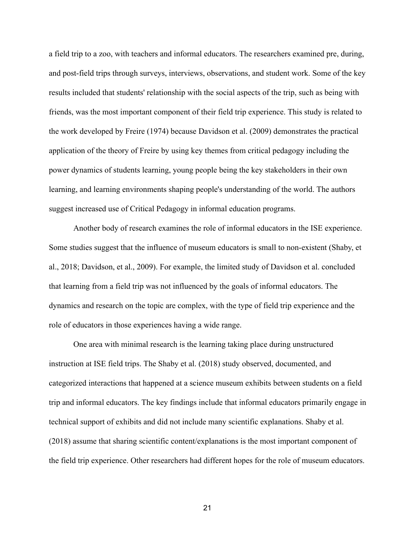a field trip to a zoo, with teachers and informal educators. The researchers examined pre, during, and post-field trips through surveys, interviews, observations, and student work. Some of the key results included that students' relationship with the social aspects of the trip, such as being with friends, was the most important component of their field trip experience. This study is related to the work developed by Freire (1974) because Davidson et al. (2009) demonstrates the practical application of the theory of Freire by using key themes from critical pedagogy including the power dynamics of students learning, young people being the key stakeholders in their own learning, and learning environments shaping people's understanding of the world. The authors suggest increased use of Critical Pedagogy in informal education programs.

Another body of research examines the role of informal educators in the ISE experience. Some studies suggest that the influence of museum educators is small to non-existent (Shaby, et al., 2018; Davidson, et al., 2009). For example, the limited study of Davidson et al. concluded that learning from a field trip was not influenced by the goals of informal educators. The dynamics and research on the topic are complex, with the type of field trip experience and the role of educators in those experiences having a wide range.

One area with minimal research is the learning taking place during unstructured instruction at ISE field trips. The Shaby et al. (2018) study observed, documented, and categorized interactions that happened at a science museum exhibits between students on a field trip and informal educators. The key findings include that informal educators primarily engage in technical support of exhibits and did not include many scientific explanations. Shaby et al. (2018) assume that sharing scientific content/explanations is the most important component of the field trip experience. Other researchers had different hopes for the role of museum educators.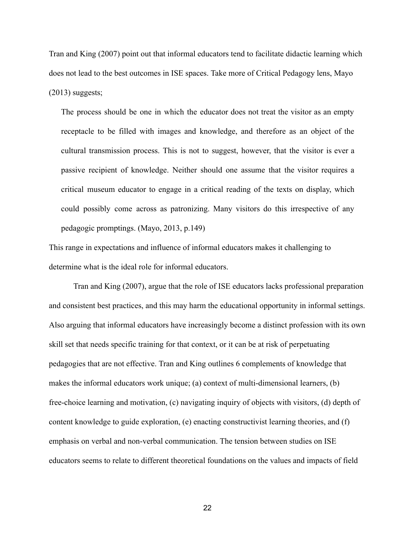Tran and King (2007) point out that informal educators tend to facilitate didactic learning which does not lead to the best outcomes in ISE spaces. Take more of Critical Pedagogy lens, Mayo  $(2013)$  suggests;

The process should be one in which the educator does not treat the visitor as an empty receptacle to be filled with images and knowledge, and therefore as an object of the cultural transmission process. This is not to suggest, however, that the visitor is ever a passive recipient of knowledge. Neither should one assume that the visitor requires a critical museum educator to engage in a critical reading of the texts on display, which could possibly come across as patronizing. Many visitors do this irrespective of any pedagogic promptings. (Mayo, 2013, p.149)

This range in expectations and influence of informal educators makes it challenging to determine what is the ideal role for informal educators.

Tran and King (2007), argue that the role of ISE educators lacks professional preparation and consistent best practices, and this may harm the educational opportunity in informal settings. Also arguing that informal educators have increasingly become a distinct profession with its own skill set that needs specific training for that context, or it can be at risk of perpetuating pedagogies that are not effective. Tran and King outlines 6 complements of knowledge that makes the informal educators work unique; (a) context of multi-dimensional learners, (b) free-choice learning and motivation, (c) navigating inquiry of objects with visitors, (d) depth of content knowledge to guide exploration, (e) enacting constructivist learning theories, and (f) emphasis on verbal and non-verbal communication. The tension between studies on ISE educators seems to relate to different theoretical foundations on the values and impacts of field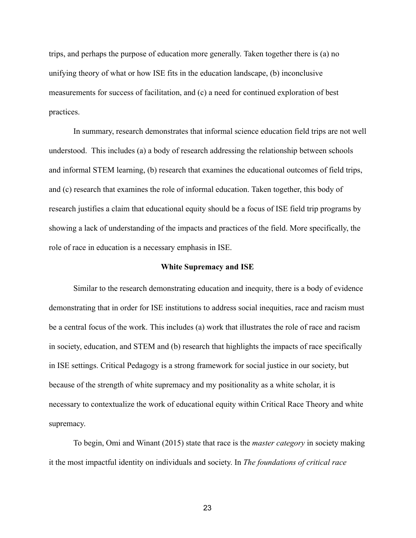trips, and perhaps the purpose of education more generally. Taken together there is (a) no unifying theory of what or how ISE fits in the education landscape, (b) inconclusive measurements for success of facilitation, and (c) a need for continued exploration of best practices.

In summary, research demonstrates that informal science education field trips are not well understood. This includes (a) a body of research addressing the relationship between schools and informal STEM learning, (b) research that examines the educational outcomes of field trips, and (c) research that examines the role of informal education. Taken together, this body of research justifies a claim that educational equity should be a focus of ISE field trip programs by showing a lack of understanding of the impacts and practices of the field. More specifically, the role of race in education is a necessary emphasis in ISE.

#### **White Supremacy and ISE**

Similar to the research demonstrating education and inequity, there is a body of evidence demonstrating that in order for ISE institutions to address social inequities, race and racism must be a central focus of the work. This includes (a) work that illustrates the role of race and racism in society, education, and STEM and (b) research that highlights the impacts of race specifically in ISE settings. Critical Pedagogy is a strong framework for social justice in our society, but because of the strength of white supremacy and my positionality as a white scholar, it is necessary to contextualize the work of educational equity within Critical Race Theory and white supremacy.

To begin, Omi and Winant (2015) state that race is the *master category* in society making it the most impactful identity on individuals and society. In *The foundations of critical race*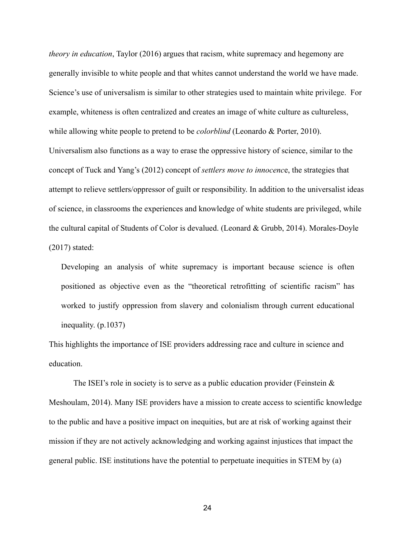*theory in education*, Taylor (2016) argues that racism, white supremacy and hegemony are generally invisible to white people and that whites cannot understand the world we have made. Science's use of universalism is similar to other strategies used to maintain white privilege. For example, whiteness is often centralized and creates an image of white culture as cultureless, while allowing white people to pretend to be *colorblind* (Leonardo & Porter, 2010). Universalism also functions as a way to erase the oppressive history of science, similar to the concept of Tuck and Yang's (2012) concept of *settlers move to innocence*, the strategies that attempt to relieve settlers/oppressor of guilt or responsibility. In addition to the universalist ideas of science, in classrooms the experiences and knowledge of white students are privileged, while the cultural capital of Students of Color is devalued. (Leonard & Grubb, 2014). Morales-Doyle (2017) stated:

Developing an analysis of white supremacy is important because science is often positioned as objective even as the "theoretical retrofitting of scientific racism" has worked to justify oppression from slavery and colonialism through current educational inequality. (p.1037)

This highlights the importance of ISE providers addressing race and culture in science and education.

The ISEI's role in society is to serve as a public education provider (Feinstein  $\&$ Meshoulam, 2014). Many ISE providers have a mission to create access to scientific knowledge to the public and have a positive impact on inequities, but are at risk of working against their mission if they are not actively acknowledging and working against injustices that impact the general public. ISE institutions have the potential to perpetuate inequities in STEM by (a)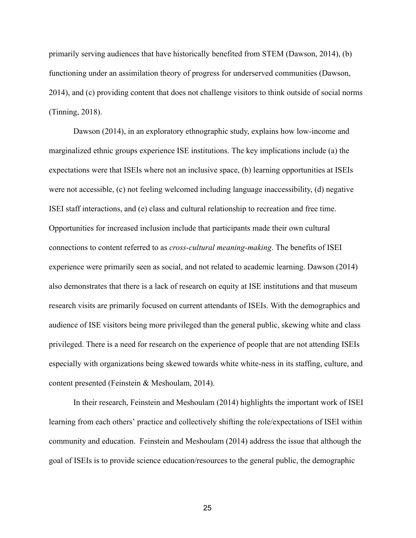primarily serving audiences that have historically benefited from STEM (Dawson, 2014), (b) functioning under an assimilation theory of progress for underserved communities (Dawson, 2014), and (c) providing content that does not challenge visitors to think outside of social norms (Tinning, 2018).

Dawson (2014), in an exploratory ethnographic study, explains how low-income and marginalized ethnic groups experience ISE institutions. The key implications include (a) the expectations were that ISEIs where not an inclusive space, (b) learning opportunities at ISEIs were not accessible, (c) not feeling welcomed including language inaccessibility, (d) negative ISEI staff interactions, and (e) class and cultural relationship to recreation and free time. Opportunities for increased inclusion include that participants made their own cultural connections to content referred to as *cross-cultural meaning-making* . The benefits of ISEI experience were primarily seen as social, and not related to academic learning. Dawson (2014) also demonstrates that there is a lack of research on equity at ISE institutions and that museum research visits are primarily focused on current attendants of ISEIs. With the demographics and audience of ISE visitors being more privileged than the general public, skewing white and class privileged. There is a need for research on the experience of people that are not attending ISEIs especially with organizations being skewed towards white white-ness in its staffing, culture, and content presented (Feinstein & Meshoulam, 2014).

In their research, Feinstein and Meshoulam (2014) highlights the important work of ISEI learning from each others' practice and collectively shifting the role/expectations of ISEI within community and education. Feinstein and Meshoulam (2014) address the issue that although the goal of ISEIs is to provide science education/resources to the general public, the demographic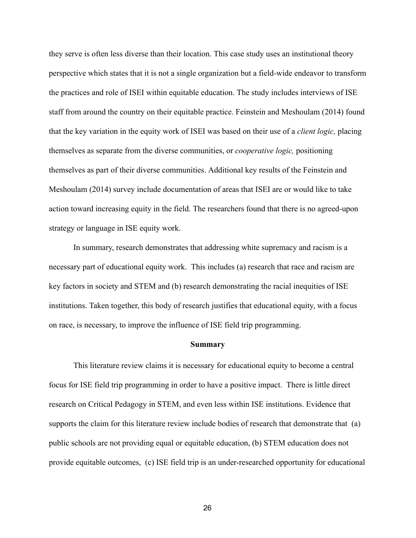they serve is often less diverse than their location. This case study uses an institutional theory perspective which states that it is not a single organization but a field-wide endeavor to transform the practices and role of ISEI within equitable education. The study includes interviews of ISE staff from around the country on their equitable practice. Feinstein and Meshoulam (2014) found that the key variation in the equity work of ISEI was based on their use of a *client logic,* placing themselves as separate from the diverse communities, or *cooperative logic,* positioning themselves as part of their diverse communities. Additional key results of the Feinstein and Meshoulam (2014) survey include documentation of areas that ISEI are or would like to take action toward increasing equity in the field. The researchers found that there is no agreed-upon strategy or language in ISE equity work.

In summary, research demonstrates that addressing white supremacy and racism is a necessary part of educational equity work. This includes (a) research that race and racism are key factors in society and STEM and (b) research demonstrating the racial inequities of ISE institutions. Taken together, this body of research justifies that educational equity, with a focus on race, is necessary, to improve the influence of ISE field trip programming.

#### **Summary**

This literature review claims it is necessary for educational equity to become a central focus for ISE field trip programming in order to have a positive impact. There is little direct research on Critical Pedagogy in STEM, and even less within ISE institutions. Evidence that supports the claim for this literature review include bodies of research that demonstrate that (a) public schools are not providing equal or equitable education, (b) STEM education does not provide equitable outcomes, (c) ISE field trip is an under-researched opportunity for educational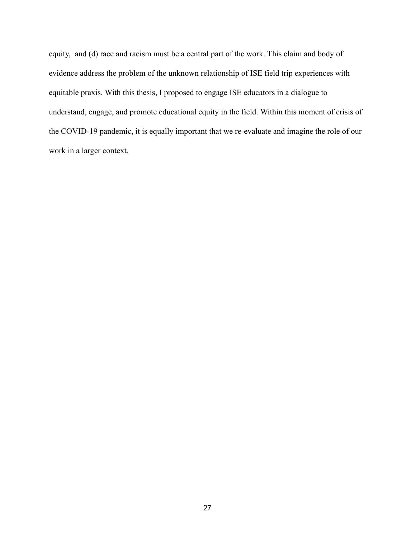equity, and (d) race and racism must be a central part of the work. This claim and body of evidence address the problem of the unknown relationship of ISE field trip experiences with equitable praxis. With this thesis, I proposed to engage ISE educators in a dialogue to understand, engage, and promote educational equity in the field. Within this moment of crisis of the COVID-19 pandemic, it is equally important that we re-evaluate and imagine the role of our work in a larger context.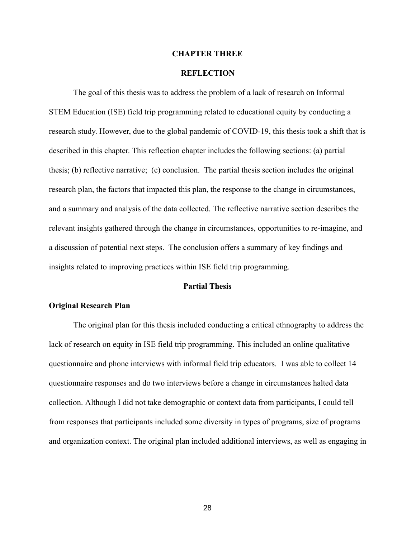#### **CHAPTER THREE**

#### **REFLECTION**

The goal of this thesis was to address the problem of a lack of research on Informal STEM Education (ISE) field trip programming related to educational equity by conducting a research study. However, due to the global pandemic of COVID-19, this thesis took a shift that is described in this chapter. This reflection chapter includes the following sections: (a) partial thesis; (b) reflective narrative; (c) conclusion. The partial thesis section includes the original research plan, the factors that impacted this plan, the response to the change in circumstances, and a summary and analysis of the data collected. The reflective narrative section describes the relevant insights gathered through the change in circumstances, opportunities to re-imagine, and a discussion of potential next steps. The conclusion offers a summary of key findings and insights related to improving practices within ISE field trip programming.

#### **Partial Thesis**

#### **Original Research Plan**

The original plan for this thesis included conducting a critical ethnography to address the lack of research on equity in ISE field trip programming. This included an online qualitative questionnaire and phone interviews with informal field trip educators. I was able to collect 14 questionnaire responses and do two interviews before a change in circumstances halted data collection. Although I did not take demographic or context data from participants, I could tell from responses that participants included some diversity in types of programs, size of programs and organization context. The original plan included additional interviews, as well as engaging in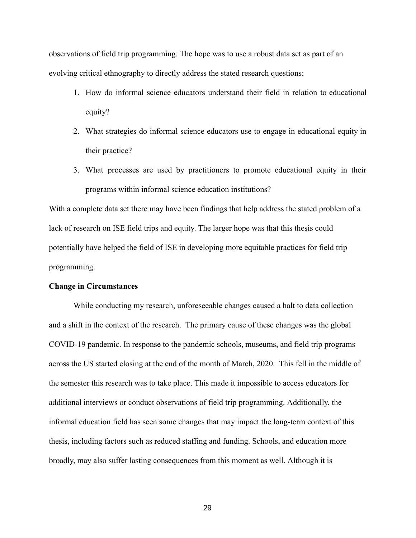observations of field trip programming. The hope was to use a robust data set as part of an evolving critical ethnography to directly address the stated research questions;

- 1. How do informal science educators understand their field in relation to educational equity?
- 2. What strategies do informal science educators use to engage in educational equity in their practice?
- 3. What processes are used by practitioners to promote educational equity in their programs within informal science education institutions?

With a complete data set there may have been findings that help address the stated problem of a lack of research on ISE field trips and equity. The larger hope was that this thesis could potentially have helped the field of ISE in developing more equitable practices for field trip programming.

#### **Change in Circumstances**

While conducting my research, unforeseeable changes caused a halt to data collection and a shift in the context of the research. The primary cause of these changes was the global COVID-19 pandemic. In response to the pandemic schools, museums, and field trip programs across the US started closing at the end of the month of March, 2020. This fell in the middle of the semester this research was to take place. This made it impossible to access educators for additional interviews or conduct observations of field trip programming. Additionally, the informal education field has seen some changes that may impact the long-term context of this thesis, including factors such as reduced staffing and funding. Schools, and education more broadly, may also suffer lasting consequences from this moment as well. Although it is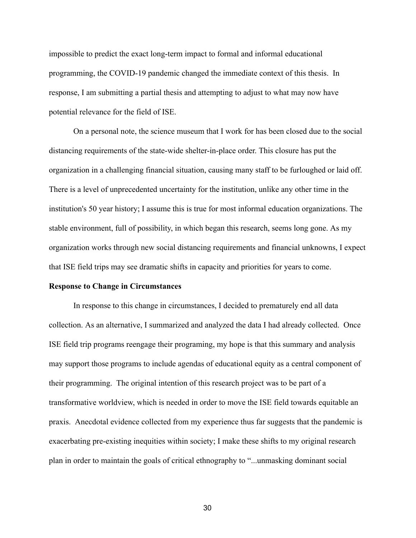impossible to predict the exact long-term impact to formal and informal educational programming, the COVID-19 pandemic changed the immediate context of this thesis. In response, I am submitting a partial thesis and attempting to adjust to what may now have potential relevance for the field of ISE.

On a personal note, the science museum that I work for has been closed due to the social distancing requirements of the state-wide shelter-in-place order. This closure has put the organization in a challenging financial situation, causing many staff to be furloughed or laid off. There is a level of unprecedented uncertainty for the institution, unlike any other time in the institution's 50 year history; I assume this is true for most informal education organizations. The stable environment, full of possibility, in which began this research, seems long gone. As my organization works through new social distancing requirements and financial unknowns, I expect that ISE field trips may see dramatic shifts in capacity and priorities for years to come.

#### **Response to Change in Circumstances**

In response to this change in circumstances, I decided to prematurely end all data collection. As an alternative, I summarized and analyzed the data I had already collected. Once ISE field trip programs reengage their programing, my hope is that this summary and analysis may support those programs to include agendas of educational equity as a central component of their programming. The original intention of this research project was to be part of a transformative worldview, which is needed in order to move the ISE field towards equitable an praxis. Anecdotal evidence collected from my experience thus far suggests that the pandemic is exacerbating pre-existing inequities within society; I make these shifts to my original research plan in order to maintain the goals of critical ethnography to "...unmasking dominant social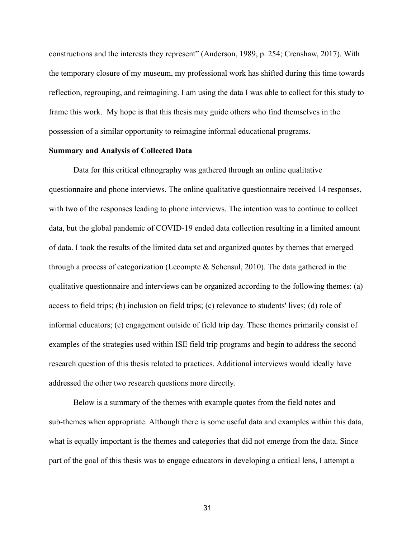constructions and the interests they represent" (Anderson, 1989, p. 254; Crenshaw, 2017). With the temporary closure of my museum, my professional work has shifted during this time towards reflection, regrouping, and reimagining. I am using the data I was able to collect for this study to frame this work. My hope is that this thesis may guide others who find themselves in the possession of a similar opportunity to reimagine informal educational programs.

#### **Summary and Analysis of Collected Data**

Data for this critical ethnography was gathered through an online qualitative questionnaire and phone interviews. The online qualitative questionnaire received 14 responses, with two of the responses leading to phone interviews. The intention was to continue to collect data, but the global pandemic of COVID-19 ended data collection resulting in a limited amount of data. I took the results of the limited data set and organized quotes by themes that emerged through a process of categorization (Lecompte & Schensul, 2010). The data gathered in the qualitative questionnaire and interviews can be organized according to the following themes: (a) access to field trips; (b) inclusion on field trips; (c) relevance to students' lives; (d) role of informal educators; (e) engagement outside of field trip day. These themes primarily consist of examples of the strategies used within ISE field trip programs and begin to address the second research question of this thesis related to practices . Additional interviews would ideally have addressed the other two research questions more directly.

Below is a summary of the themes with example quotes from the field notes and sub-themes when appropriate. Although there is some useful data and examples within this data, what is equally important is the themes and categories that did not emerge from the data. Since part of the goal of this thesis was to engage educators in developing a critical lens, I attempt a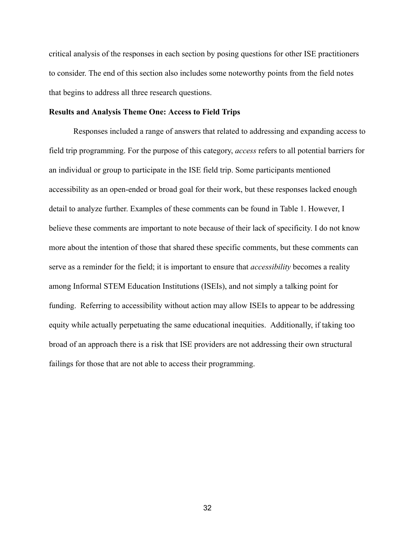critical analysis of the responses in each section by posing questions for other ISE practitioners to consider. The end of this section also includes some noteworthy points from the field notes that begins to address all three research questions.

## **Results and Analysis Theme One: Access to Field Trips**

Responses included a range of answers that related to addressing and expanding access to field trip programming. For the purpose of this category, *access* refers to all potential barriers for an individual or group to participate in the ISE field trip. Some participants mentioned accessibility as an open-ended or broad goal for their work, but these responses lacked enough detail to analyze further. Examples of these comments can be found in Table 1. However, I believe these comments are important to note because of their lack of specificity. I do not know more about the intention of those that shared these specific comments, but these comments can serve as a reminder for the field; it is important to ensure that *accessibility* becomes a reality among Informal STEM Education Institutions (ISEIs), and not simply a talking point for funding. Referring to accessibility without action may allow ISEIs to appear to be addressing equity while actually perpetuating the same educational inequities. Additionally, if taking too broad of an approach there is a risk that ISE providers are not addressing their own structural failings for those that are not able to access their programming.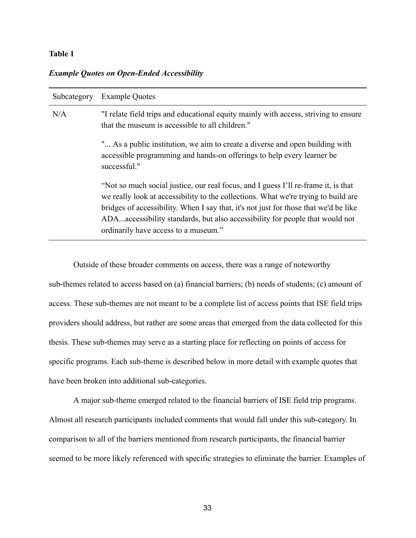# **Table 1**

## *Example Quotes on Open-Ended Accessibility*

| Subcategory | <b>Example Quotes</b>                                                                                                                                                                                                                                                                                                                                                                    |
|-------------|------------------------------------------------------------------------------------------------------------------------------------------------------------------------------------------------------------------------------------------------------------------------------------------------------------------------------------------------------------------------------------------|
| N/A         | "I relate field trips and educational equity mainly with access, striving to ensure<br>that the museum is accessible to all children."                                                                                                                                                                                                                                                   |
|             | " As a public institution, we aim to create a diverse and open building with<br>accessible programming and hands-on offerings to help every learner be<br>successful."                                                                                                                                                                                                                   |
|             | "Not so much social justice, our real focus, and I guess I'll re-frame it, is that<br>we really look at accessibility to the collections. What we're trying to build are<br>bridges of accessibility. When I say that, it's not just for those that we'd be like<br>ADAaccessibility standards, but also accessibility for people that would not<br>ordinarily have access to a museum." |

Outside of these broader comments on access, there was a range of noteworthy sub-themes related to access based on (a) financial barriers; (b) needs of students; (c) amount of access. These sub-themes are not meant to be a complete list of access points that ISE field trips providers should address, but rather are some areas that emerged from the data collected for this thesis. These sub-themes may serve as a starting place for reflecting on points of access for specific programs. Each sub-theme is described below in more detail with example quotes that have been broken into additional sub-categories.

A major sub-theme emerged related to the financial barriers of ISE field trip programs. Almost all research participants included comments that would fall under this sub-category. In comparison to all of the barriers mentioned from research participants, the financial barrier seemed to be more likely referenced with specific strategies to eliminate the barrier. Examples of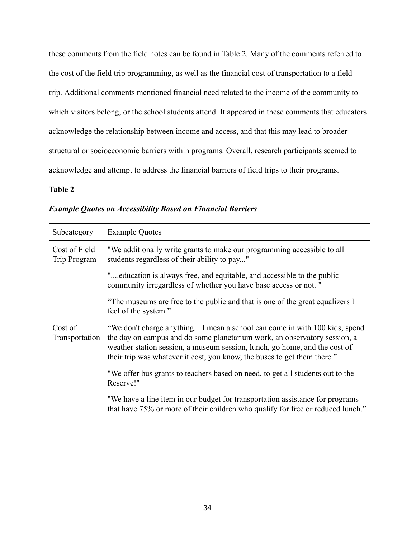these comments from the field notes can be found in Table 2. Many of the comments referred to the cost of the field trip programming, as well as the financial cost of transportation to a field trip. Additional comments mentioned financial need related to the income of the community to which visitors belong, or the school students attend. It appeared in these comments that educators acknowledge the relationship between income and access, and that this may lead to broader structural or socioeconomic barriers within programs. Overall, research participants seemed to acknowledge and attempt to address the financial barriers of field trips to their programs.

# **Table 2**

| Subcategory                   | <b>Example Quotes</b>                                                                                                                                                                                                                                                                                             |
|-------------------------------|-------------------------------------------------------------------------------------------------------------------------------------------------------------------------------------------------------------------------------------------------------------------------------------------------------------------|
| Cost of Field<br>Trip Program | "We additionally write grants to make our programming accessible to all<br>students regardless of their ability to pay"                                                                                                                                                                                           |
|                               | "education is always free, and equitable, and accessible to the public<br>community irregardless of whether you have base access or not. "                                                                                                                                                                        |
|                               | "The museums are free to the public and that is one of the great equalizers I<br>feel of the system."                                                                                                                                                                                                             |
| Cost of<br>Transportation     | "We don't charge anything I mean a school can come in with 100 kids, spend<br>the day on campus and do some planetarium work, an observatory session, a<br>weather station session, a museum session, lunch, go home, and the cost of<br>their trip was whatever it cost, you know, the buses to get them there." |
|                               | "We offer bus grants to teachers based on need, to get all students out to the<br>Reserve!"                                                                                                                                                                                                                       |
|                               | "We have a line item in our budget for transportation assistance for programs<br>that have 75% or more of their children who qualify for free or reduced lunch."                                                                                                                                                  |

*Example Quotes on Accessibility Based on Financial Barriers*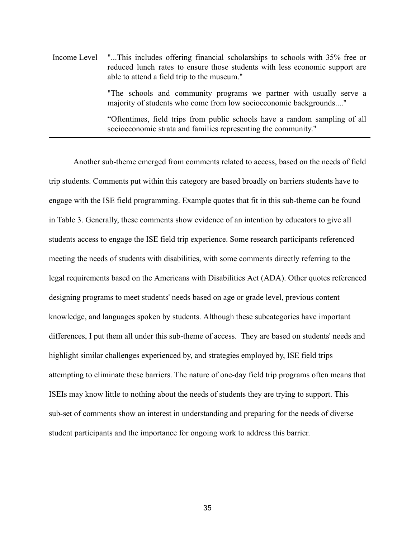Income Level "...This includes offering financial scholarships to schools with 35% free or reduced lunch rates to ensure those students with less economic support are able to attend a field trip to the museum." "The schools and community programs we partner with usually serve a majority of students who come from low socioeconomic backgrounds...."

"Oftentimes, field trips from public schools have a random sampling of all socioeconomic strata and families representing the community."

Another sub-theme emerged from comments related to access, based on the needs of field trip students. Comments put within this category are based broadly on barriers students have to engage with the ISE field programming. Example quotes that fit in this sub-theme can be found in Table 3. Generally, these comments show evidence of an intention by educators to give all students access to engage the ISE field trip experience. Some research participants referenced meeting the needs of students with disabilities, with some comments directly referring to the legal requirements based on the Americans with Disabilities Act (ADA). Other quotes referenced designing programs to meet students' needs based on age or grade level, previous content knowledge, and languages spoken by students. Although these subcategories have important differences, I put them all under this sub-theme of access. They are based on students' needs and highlight similar challenges experienced by, and strategies employed by, ISE field trips attempting to eliminate these barriers. The nature of one-day field trip programs often means that ISEIs may know little to nothing about the needs of students they are trying to support. This sub-set of comments show an interest in understanding and preparing for the needs of diverse student participants and the importance for ongoing work to address this barrier.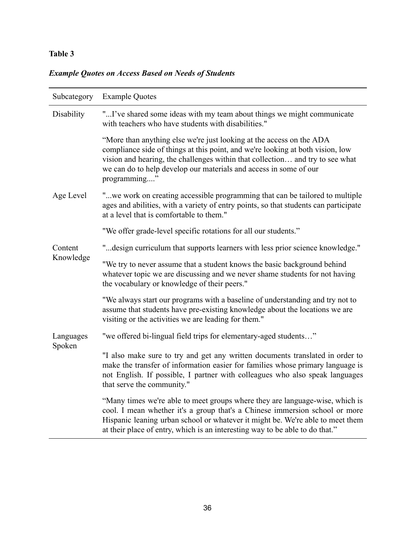# **Table 3**

# *Example Quotes on Access Based on Needs of Students*

| Subcategory          | <b>Example Quotes</b>                                                                                                                                                                                                                                                                                                         |
|----------------------|-------------------------------------------------------------------------------------------------------------------------------------------------------------------------------------------------------------------------------------------------------------------------------------------------------------------------------|
| Disability           | "I've shared some ideas with my team about things we might communicate<br>with teachers who have students with disabilities."                                                                                                                                                                                                 |
|                      | "More than anything else we're just looking at the access on the ADA<br>compliance side of things at this point, and we're looking at both vision, low<br>vision and hearing, the challenges within that collection and try to see what<br>we can do to help develop our materials and access in some of our<br>programming"  |
| Age Level            | "we work on creating accessible programming that can be tailored to multiple<br>ages and abilities, with a variety of entry points, so that students can participate<br>at a level that is comfortable to them."                                                                                                              |
|                      | "We offer grade-level specific rotations for all our students."                                                                                                                                                                                                                                                               |
| Content<br>Knowledge | " design curriculum that supports learners with less prior science knowledge."                                                                                                                                                                                                                                                |
|                      | "We try to never assume that a student knows the basic background behind<br>whatever topic we are discussing and we never shame students for not having<br>the vocabulary or knowledge of their peers."                                                                                                                       |
|                      | "We always start our programs with a baseline of understanding and try not to<br>assume that students have pre-existing knowledge about the locations we are<br>visiting or the activities we are leading for them."                                                                                                          |
| Languages<br>Spoken  | "we offered bi-lingual field trips for elementary-aged students"                                                                                                                                                                                                                                                              |
|                      | "I also make sure to try and get any written documents translated in order to<br>make the transfer of information easier for families whose primary language is<br>not English. If possible, I partner with colleagues who also speak languages<br>that serve the community."                                                 |
|                      | "Many times we're able to meet groups where they are language-wise, which is<br>cool. I mean whether it's a group that's a Chinese immersion school or more<br>Hispanic leaning urban school or whatever it might be. We're able to meet them<br>at their place of entry, which is an interesting way to be able to do that." |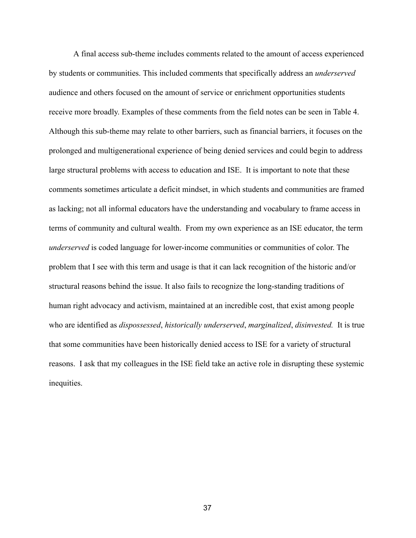A final access sub-theme includes comments related to the amount of access experienced by students or communities. This included comments that specifically address an *underserved*  audience and others focused on the amount of service or enrichment opportunities students receive more broadly. Examples of these comments from the field notes can be seen in Table 4. Although this sub-theme may relate to other barriers, such as financial barriers, it focuses on the prolonged and multigenerational experience of being denied services and could begin to address large structural problems with access to education and ISE. It is important to note that these comments sometimes articulate a deficit mindset, in which students and communities are framed as lacking; not all informal educators have the understanding and vocabulary to frame access in terms of community and cultural wealth. From my own experience as an ISE educator, the term *underserved* is coded language for lower-income communities or communities of color. The problem that I see with this term and usage is that it can lack recognition of the historic and/or structural reasons behind the issue. It also fails to recognize the long-standing traditions of human right advocacy and activism, maintained at an incredible cost, that exist among people who are identified as *dispossessed*, *historically underserved*, *marginalized*, *disinvested*. It is true that some communities have been historically denied access to ISE for a variety of structural reasons. I ask that my colleagues in the ISE field take an active role in disrupting these systemic inequities.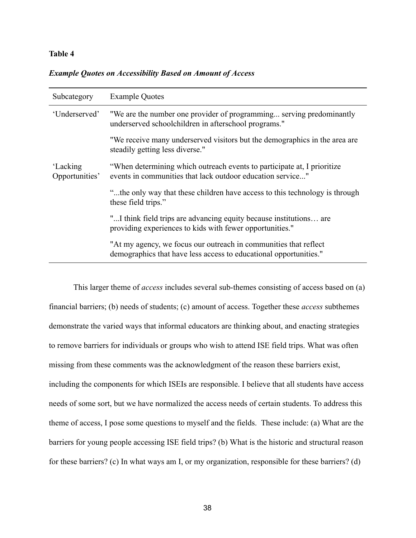## **Table 4**

|  |  | <b>Example Quotes on Accessibility Based on Amount of Access</b> |
|--|--|------------------------------------------------------------------|
|  |  |                                                                  |

| Subcategory                | <b>Example Quotes</b>                                                                                                                 |  |
|----------------------------|---------------------------------------------------------------------------------------------------------------------------------------|--|
| 'Underserved'              | "We are the number one provider of programming serving predominantly<br>underserved schoolchildren in afterschool programs."          |  |
|                            | "We receive many underserved visitors but the demographics in the area are<br>steadily getting less diverse."                         |  |
| 'Lacking<br>Opportunities' | "When determining which outreach events to participate at, I prioritize<br>events in communities that lack outdoor education service" |  |
|                            | "the only way that these children have access to this technology is through<br>these field trips."                                    |  |
|                            | "I think field trips are advancing equity because institutions are<br>providing experiences to kids with fewer opportunities."        |  |
|                            | "At my agency, we focus our outreach in communities that reflect<br>demographics that have less access to educational opportunities." |  |

This larger theme of *access* includes several sub-themes consisting of access based on (a) financial barriers; (b) needs of students; (c) amount of access. Together these *access* subthemes demonstrate the varied ways that informal educators are thinking about, and enacting strategies to remove barriers for individuals or groups who wish to attend ISE field trips. What was often missing from these comments was the acknowledgment of the reason these barriers exist, including the components for which ISEIs are responsible. I believe that all students have access needs of some sort, but we have normalized the access needs of certain students. To address this theme of access, I pose some questions to myself and the fields. These include: (a) What are the barriers for young people accessing ISE field trips? (b) What is the historic and structural reason for these barriers? (c) In what ways am I, or my organization, responsible for these barriers? (d)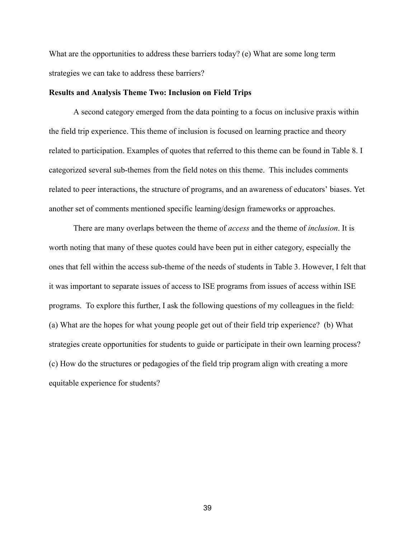What are the opportunities to address these barriers today? (e) What are some long term strategies we can take to address these barriers?

#### **Results and Analysis Theme Two: Inclusion on Field Trips**

A second category emerged from the data pointing to a focus on inclusive praxis within the field trip experience. This theme of inclusion is focused on learning practice and theory related to participation. Examples of quotes that referred to this theme can be found in Table 8. I categorized several sub-themes from the field notes on this theme. This includes comments related to peer interactions, the structure of programs, and an awareness of educators' biases. Yet another set of comments mentioned specific learning/design frameworks or approaches.

There are many overlaps between the theme of *access* and the theme of *inclusion* . It is worth noting that many of these quotes could have been put in either category, especially the ones that fell within the access sub-theme of the needs of students in Table 3. However, I felt that it was important to separate issues of access to ISE programs from issues of access within ISE programs. To explore this further, I ask the following questions of my colleagues in the field: (a) What are the hopes for what young people get out of their field trip experience? (b) What strategies create opportunities for students to guide or participate in their own learning process? (c) How do the structures or pedagogies of the field trip program align with creating a more equitable experience for students?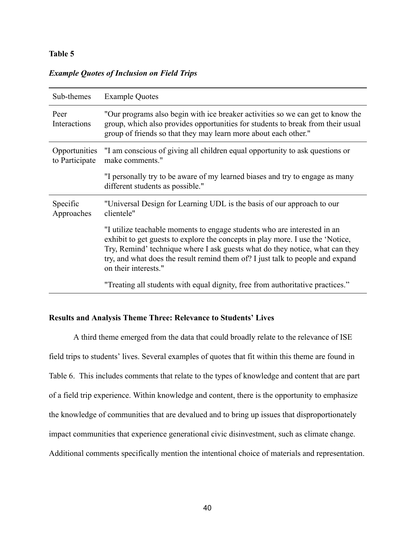## **Table 5**

| Sub-themes                      | <b>Example Quotes</b>                                                                                                                                                                                                                                                                                                                                |
|---------------------------------|------------------------------------------------------------------------------------------------------------------------------------------------------------------------------------------------------------------------------------------------------------------------------------------------------------------------------------------------------|
| Peer<br>Interactions            | "Our programs also begin with ice breaker activities so we can get to know the<br>group, which also provides opportunities for students to break from their usual<br>group of friends so that they may learn more about each other."                                                                                                                 |
| Opportunities<br>to Participate | "I am conscious of giving all children equal opportunity to ask questions or<br>make comments."                                                                                                                                                                                                                                                      |
|                                 | "I personally try to be aware of my learned biases and try to engage as many<br>different students as possible."                                                                                                                                                                                                                                     |
| Specific<br>Approaches          | "Universal Design for Learning UDL is the basis of our approach to our<br>clientele"                                                                                                                                                                                                                                                                 |
|                                 | "I utilize teachable moments to engage students who are interested in an<br>exhibit to get guests to explore the concepts in play more. I use the 'Notice,<br>Try, Remind' technique where I ask guests what do they notice, what can they<br>try, and what does the result remind them of? I just talk to people and expand<br>on their interests." |
|                                 | "Treating all students with equal dignity, free from authoritative practices."                                                                                                                                                                                                                                                                       |

# *Example Quotes of Inclusion on Field Trips*

## **Results and Analysis Theme Three: Relevance to Students' Lives**

A third theme emerged from the data that could broadly relate to the relevance of ISE field trips to students' lives. Several examples of quotes that fit within this theme are found in Table 6. This includes comments that relate to the types of knowledge and content that are part of a field trip experience. Within knowledge and content, there is the opportunity to emphasize the knowledge of communities that are devalued and to bring up issues that disproportionately impact communities that experience generational civic disinvestment, such as climate change. Additional comments specifically mention the intentional choice of materials and representation.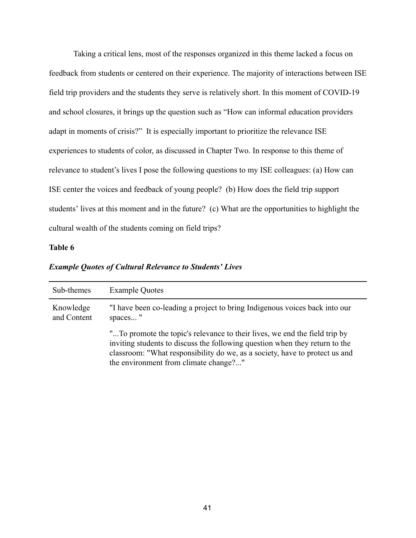Taking a critical lens, most of the responses organized in this theme lacked a focus on feedback from students or centered on their experience. The majority of interactions between ISE field trip providers and the students they serve is relatively short. In this moment of COVID-19 and school closures, it brings up the question such as "How can informal education providers adapt in moments of crisis?" It is especially important to prioritize the relevance ISE experiences to students of color, as discussed in Chapter Two. In response to this theme of relevance to student's lives I pose the following questions to my ISE colleagues: (a) How can ISE center the voices and feedback of young people? (b) How does the field trip support students' lives at this moment and in the future? (c) What are the opportunities to highlight the cultural wealth of the students coming on field trips?

## **Table 6**

| Sub-themes               | <b>Example Quotes</b>                                                                                                                                                                                                                                                             |  |
|--------------------------|-----------------------------------------------------------------------------------------------------------------------------------------------------------------------------------------------------------------------------------------------------------------------------------|--|
| Knowledge<br>and Content | "I have been co-leading a project to bring Indigenous voices back into our<br>spaces"                                                                                                                                                                                             |  |
|                          | "To promote the topic's relevance to their lives, we end the field trip by<br>inviting students to discuss the following question when they return to the<br>classroom: "What responsibility do we, as a society, have to protect us and<br>the environment from climate change?" |  |

*Example Quotes of Cultural Relevance to Students' Lives*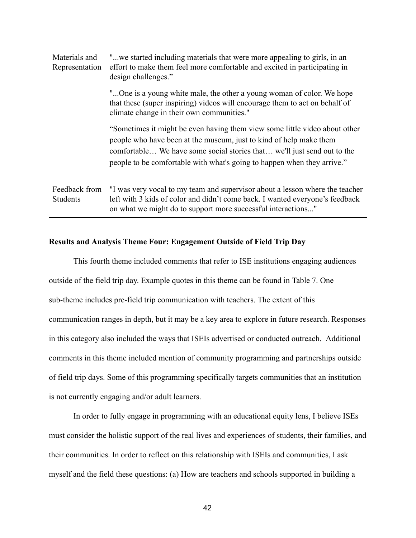| Materials and<br>Representation  | "we started including materials that were more appealing to girls, in an<br>effort to make them feel more comfortable and excited in participating in<br>design challenges."                                                                                                                           |
|----------------------------------|--------------------------------------------------------------------------------------------------------------------------------------------------------------------------------------------------------------------------------------------------------------------------------------------------------|
|                                  | "One is a young white male, the other a young woman of color. We hope<br>that these (super inspiring) videos will encourage them to act on behalf of<br>climate change in their own communities."                                                                                                      |
|                                  | "Sometimes it might be even having them view some little video about other<br>people who have been at the museum, just to kind of help make them<br>comfortable We have some social stories that we'll just send out to the<br>people to be comfortable with what's going to happen when they arrive." |
| Feedback from<br><b>Students</b> | "I was very vocal to my team and supervisor about a lesson where the teacher<br>left with 3 kids of color and didn't come back. I wanted everyone's feedback<br>on what we might do to support more successful interactions"                                                                           |

#### **Results and Analysis Theme Four: Engagement Outside of Field Trip Day**

This fourth theme included comments that refer to ISE institutions engaging audiences outside of the field trip day. Example quotes in this theme can be found in Table 7. One sub-theme includes pre-field trip communication with teachers. The extent of this communication ranges in depth, but it may be a key area to explore in future research. Responses in this category also included the ways that ISEIs advertised or conducted outreach. Additional comments in this theme included mention of community programming and partnerships outside of field trip days. Some of this programming specifically targets communities that an institution is not currently engaging and/or adult learners.

In order to fully engage in programming with an educational equity lens, I believe ISEs must consider the holistic support of the real lives and experiences of students, their families, and their communities. In order to reflect on this relationship with ISEIs and communities, I ask myself and the field these questions: (a) How are teachers and schools supported in building a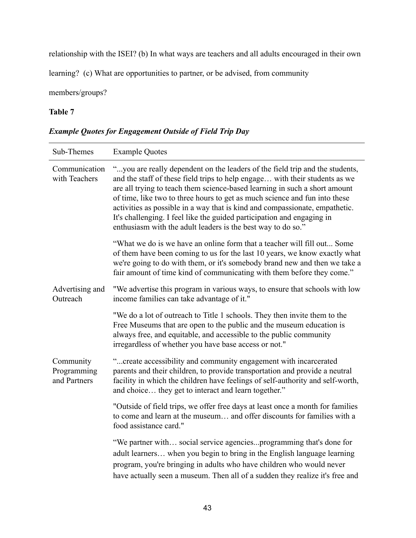relationship with the ISEI? (b) In what ways are teachers and all adults encouraged in their own

learning? (c) What are opportunities to partner, or be advised, from community

members/groups?

## **Table 7**

# Sub-Themes Example Quotes Communication with Teachers "...you are really dependent on the leaders of the field trip and the students, and the staff of these field trips to help engage… with their students as we are all trying to teach them science-based learning in such a short amount of time, like two to three hours to get as much science and fun into these activities as possible in a way that is kind and compassionate, empathetic. It's challenging. I feel like the guided participation and engaging in enthusiasm with the adult leaders is the best way to do so." "What we do is we have an online form that a teacher will fill out... Some of them have been coming to us for the last 10 years, we know exactly what we're going to do with them, or it's somebody brand new and then we take a fair amount of time kind of communicating with them before they come." Advertising and **Outreach** "We advertise this program in various ways, to ensure that schools with low income families can take advantage of it." "We do a lot of outreach to Title 1 schools. They then invite them to the Free Museums that are open to the public and the museum education is always free, and equitable, and accessible to the public community irregardless of whether you have base access or not." Community Programming and Partners "...create accessibility and community engagement with incarcerated parents and their children, to provide transportation and provide a neutral facility in which the children have feelings of self-authority and self-worth, and choice… they get to interact and learn together." "Outside of field trips, we offer free days at least once a month for families to come and learn at the museum… and offer discounts for families with a food assistance card." "We partner with… social service agencies...programming that's done for adult learners… when you begin to bring in the English language learning program, you're bringing in adults who have children who would never have actually seen a museum. Then all of a sudden they realize it's free and

# *Example Quotes for Engagement Outside of Field Trip Day*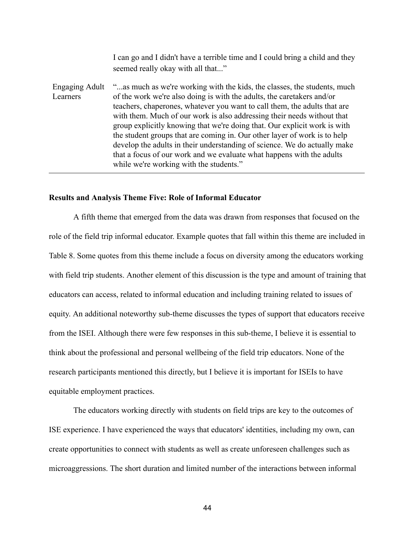I can go and I didn't have a terrible time and I could bring a child and they seemed really okay with all that..."

Engaging Adult Learners "...as much as we're working with the kids, the classes, the students, much of the work we're also doing is with the adults, the caretakers and/or teachers, chaperones, whatever you want to call them, the adults that are with them. Much of our work is also addressing their needs without that group explicitly knowing that we're doing that. Our explicit work is with the student groups that are coming in. Our other layer of work is to help develop the adults in their understanding of science. We do actually make that a focus of our work and we evaluate what happens with the adults while we're working with the students."

#### **Results and Analysis Theme Five: Role of Informal Educator**

A fifth theme that emerged from the data was drawn from responses that focused on the role of the field trip informal educator. Example quotes that fall within this theme are included in Table 8. Some quotes from this theme include a focus on diversity among the educators working with field trip students. Another element of this discussion is the type and amount of training that educators can access, related to informal education and including training related to issues of equity. An additional noteworthy sub-theme discusses the types of support that educators receive from the ISEI. Although there were few responses in this sub-theme, I believe it is essential to think about the professional and personal wellbeing of the field trip educators. None of the research participants mentioned this directly, but I believe it is important for ISEIs to have equitable employment practices.

The educators working directly with students on field trips are key to the outcomes of ISE experience. I have experienced the ways that educators' identities, including my own, can create opportunities to connect with students as well as create unforeseen challenges such as microaggressions. The short duration and limited number of the interactions between informal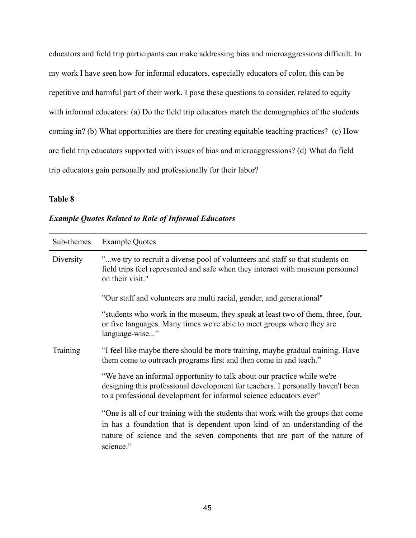educators and field trip participants can make addressing bias and microaggressions difficult. In my work I have seen how for informal educators, especially educators of color, this can be repetitive and harmful part of their work. I pose these questions to consider, related to equity with informal educators: (a) Do the field trip educators match the demographics of the students coming in? (b) What opportunities are there for creating equitable teaching practices? (c) How are field trip educators supported with issues of bias and microaggressions? (d) What do field trip educators gain personally and professionally for their labor?

# **Table 8**

| Sub-themes | <b>Example Quotes</b>                                                                                                                                                                                                                                     |
|------------|-----------------------------------------------------------------------------------------------------------------------------------------------------------------------------------------------------------------------------------------------------------|
| Diversity  | "we try to recruit a diverse pool of volunteers and staff so that students on<br>field trips feel represented and safe when they interact with museum personnel<br>on their visit."                                                                       |
|            | "Our staff and volunteers are multi racial, gender, and generational"                                                                                                                                                                                     |
|            | "students who work in the museum, they speak at least two of them, three, four,<br>or five languages. Many times we're able to meet groups where they are<br>language-wise"                                                                               |
| Training   | "I feel like maybe there should be more training, maybe gradual training. Have<br>them come to outreach programs first and then come in and teach."                                                                                                       |
|            | "We have an informal opportunity to talk about our practice while we're<br>designing this professional development for teachers. I personally haven't been<br>to a professional development for informal science educators ever"                          |
|            | "One is all of our training with the students that work with the groups that come<br>in has a foundation that is dependent upon kind of an understanding of the<br>nature of science and the seven components that are part of the nature of<br>science." |

# *Example Quotes Related to Role of Informal Educators*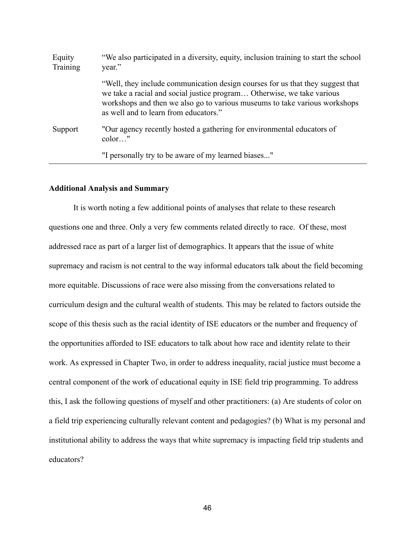| Equity<br>Training | "We also participated in a diversity, equity, inclusion training to start the school<br>year."                                                                                                                                                                                  |
|--------------------|---------------------------------------------------------------------------------------------------------------------------------------------------------------------------------------------------------------------------------------------------------------------------------|
|                    | "Well, they include communication design courses for us that they suggest that<br>we take a racial and social justice program Otherwise, we take various<br>workshops and then we also go to various museums to take various workshops<br>as well and to learn from educators." |
| Support            | "Our agency recently hosted a gathering for environmental educators of<br>$color$ "                                                                                                                                                                                             |
|                    | "I personally try to be aware of my learned biases"                                                                                                                                                                                                                             |

#### **Additional Analysis and Summary**

It is worth noting a few additional points of analyses that relate to these research questions one and three. Only a very few comments related directly to race. Of these, most addressed race as part of a larger list of demographics. It appears that the issue of white supremacy and racism is not central to the way informal educators talk about the field becoming more equitable. Discussions of race were also missing from the conversations related to curriculum design and the cultural wealth of students. This may be related to factors outside the scope of this thesis such as the racial identity of ISE educators or the number and frequency of the opportunities afforded to ISE educators to talk about how race and identity relate to their work. As expressed in Chapter Two, in order to address inequality, racial justice must become a central component of the work of educational equity in ISE field trip programming. To address this, I ask the following questions of myself and other practitioners: (a) Are students of color on a field trip experiencing culturally relevant content and pedagogies? (b) What is my personal and institutional ability to address the ways that white supremacy is impacting field trip students and educators?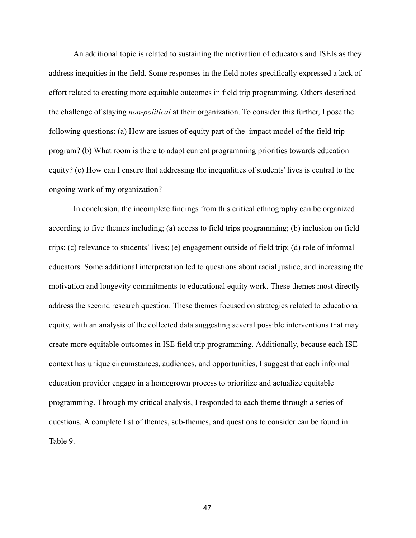An additional topic is related to sustaining the motivation of educators and ISEIs as they address inequities in the field. Some responses in the field notes specifically expressed a lack of effort related to creating more equitable outcomes in field trip programming. Others described the challenge of staying *non-political* at their organization. To consider this further, I pose the following questions: (a) How are issues of equity part of the impact model of the field trip program? (b) What room is there to adapt current programming priorities towards education equity? (c) How can I ensure that addressing the inequalities of students' lives is central to the ongoing work of my organization?

In conclusion, the incomplete findings from this critical ethnography can be organized according to five themes including; (a) access to field trips programming; (b) inclusion on field trips; (c) relevance to students' lives; (e) engagement outside of field trip; (d) role of informal educators. Some additional interpretation led to questions about racial justice, and increasing the motivation and longevity commitments to educational equity work. These themes most directly address the second research question. These themes focused on strategies related to educational equity, with an analysis of the collected data suggesting several possible interventions that may create more equitable outcomes in ISE field trip programming. Additionally, because each ISE context has unique circumstances, audiences, and opportunities, I suggest that each informal education provider engage in a homegrown process to prioritize and actualize equitable programming. Through my critical analysis, I responded to each theme through a series of questions. A complete list of themes, sub-themes, and questions to consider can be found in Table 9.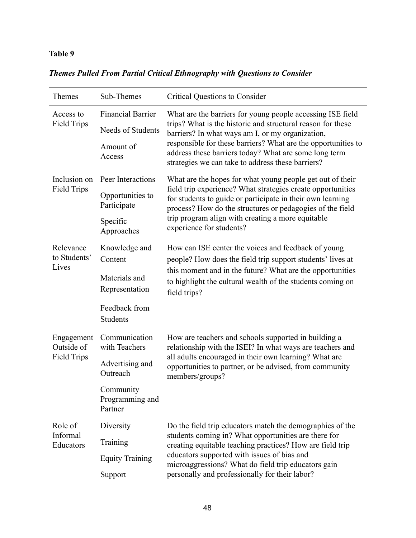# **Table 9**

| Themes                                         | Sub-Themes                              | <b>Critical Questions to Consider</b>                                                                                                                                                                                                                                                                                                                        |
|------------------------------------------------|-----------------------------------------|--------------------------------------------------------------------------------------------------------------------------------------------------------------------------------------------------------------------------------------------------------------------------------------------------------------------------------------------------------------|
| Access to<br><b>Field Trips</b>                | <b>Financial Barrier</b>                | What are the barriers for young people accessing ISE field<br>trips? What is the historic and structural reason for these<br>barriers? In what ways am I, or my organization,<br>responsible for these barriers? What are the opportunities to<br>address these barriers today? What are some long term<br>strategies we can take to address these barriers? |
|                                                | Needs of Students                       |                                                                                                                                                                                                                                                                                                                                                              |
|                                                | Amount of<br>Access                     |                                                                                                                                                                                                                                                                                                                                                              |
| Inclusion on<br><b>Field Trips</b>             | Peer Interactions                       | What are the hopes for what young people get out of their<br>field trip experience? What strategies create opportunities<br>for students to guide or participate in their own learning<br>process? How do the structures or pedagogies of the field<br>trip program align with creating a more equitable<br>experience for students?                         |
|                                                | Opportunities to<br>Participate         |                                                                                                                                                                                                                                                                                                                                                              |
|                                                | Specific<br>Approaches                  |                                                                                                                                                                                                                                                                                                                                                              |
| Relevance<br>to Students'<br>Lives             | Knowledge and<br>Content                | How can ISE center the voices and feedback of young<br>people? How does the field trip support students' lives at<br>this moment and in the future? What are the opportunities<br>to highlight the cultural wealth of the students coming on<br>field trips?                                                                                                 |
|                                                | Materials and<br>Representation         |                                                                                                                                                                                                                                                                                                                                                              |
|                                                | Feedback from<br>Students               |                                                                                                                                                                                                                                                                                                                                                              |
| Engagement<br>Outside of<br><b>Field Trips</b> | Communication<br>with Teachers          | How are teachers and schools supported in building a<br>relationship with the ISEI? In what ways are teachers and<br>all adults encouraged in their own learning? What are<br>opportunities to partner, or be advised, from community<br>members/groups?                                                                                                     |
|                                                | Advertising and<br>Outreach             |                                                                                                                                                                                                                                                                                                                                                              |
|                                                | Community<br>Programming and<br>Partner |                                                                                                                                                                                                                                                                                                                                                              |
| Role of<br>Informal<br>Educators               | Diversity                               | Do the field trip educators match the demographics of the<br>students coming in? What opportunities are there for<br>creating equitable teaching practices? How are field trip<br>educators supported with issues of bias and<br>microaggressions? What do field trip educators gain<br>personally and professionally for their labor?                       |
|                                                | Training                                |                                                                                                                                                                                                                                                                                                                                                              |
|                                                | <b>Equity Training</b>                  |                                                                                                                                                                                                                                                                                                                                                              |
|                                                | Support                                 |                                                                                                                                                                                                                                                                                                                                                              |

# *Themes Pulled From Partial Critical Ethnography with Questions to Consider*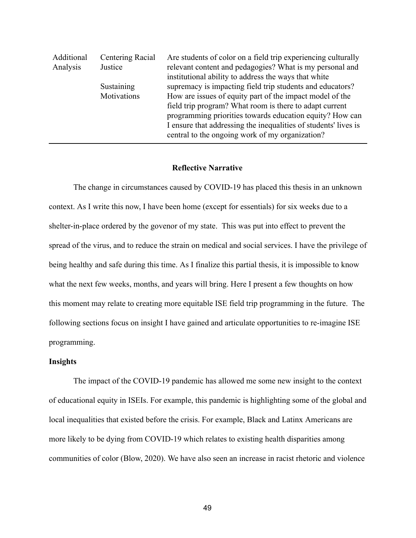| Additional | Centering Racial | Are students of color on a field trip experiencing culturally                                                      |
|------------|------------------|--------------------------------------------------------------------------------------------------------------------|
| Analysis   | Justice          | relevant content and pedagogies? What is my personal and                                                           |
|            |                  | institutional ability to address the ways that white                                                               |
|            | Sustaining       | supremacy is impacting field trip students and educators?                                                          |
|            | Motivations      | How are issues of equity part of the impact model of the                                                           |
|            |                  | field trip program? What room is there to adapt current                                                            |
|            |                  | programming priorities towards education equity? How can                                                           |
|            |                  | I ensure that addressing the inequalities of students' lives is<br>central to the ongoing work of my organization? |
|            |                  |                                                                                                                    |

#### **Reflective Narrative**

The change in circumstances caused by COVID-19 has placed this thesis in an unknown context. As I write this now, I have been home (except for essentials) for six weeks due to a shelter-in-place ordered by the govenor of my state. This was put into effect to prevent the spread of the virus, and to reduce the strain on medical and social services. I have the privilege of being healthy and safe during this time. As I finalize this partial thesis, it is impossible to know what the next few weeks, months, and years will bring. Here I present a few thoughts on how this moment may relate to creating more equitable ISE field trip programming in the future. The following sections focus on insight I have gained and articulate opportunities to re-imagine ISE programming.

#### **Insights**

The impact of the COVID-19 pandemic has allowed me some new insight to the context of educational equity in ISEIs. For example, this pandemic is highlighting some of the global and local inequalities that existed before the crisis. For example, Black and Latinx Americans are more likely to be dying from COVID-19 which relates to existing health disparities among communities of color (Blow, 2020). We have also seen an increase in racist rhetoric and violence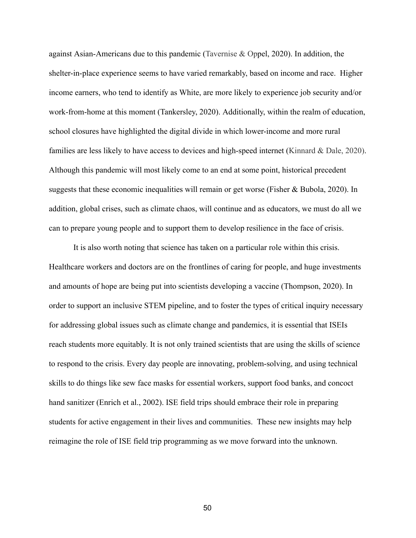against Asian-Americans due to this pandemic (Tavernise  $\&$  Oppel, 2020). In addition, the shelter-in-place experience seems to have varied remarkably, based on income and race. Higher income earners, who tend to identify as White, are more likely to experience job security and/or work-from-home at this moment (Tankersley, 2020). Additionally, within the realm of education, school closures have highlighted the digital divide in which lower-income and more rural families are less likely to have access to devices and high-speed internet (Kinnard & Dale, 2020). Although this pandemic will most likely come to an end at some point, historical precedent suggests that these economic inequalities will remain or get worse (Fisher & Bubola, 2020). In addition, global crises, such as climate chaos, will continue and as educators, we must do all we can to prepare young people and to support them to develop resilience in the face of crisis.

It is also worth noting that science has taken on a particular role within this crisis. Healthcare workers and doctors are on the frontlines of caring for people, and huge investments and amounts of hope are being put into scientists developing a vaccine (Thompson, 2020). In order to support an inclusive STEM pipeline, and to foster the types of critical inquiry necessary for addressing global issues such as climate change and pandemics, it is essential that ISEIs reach students more equitably. It is not only trained scientists that are using the skills of science to respond to the crisis. Every day people are innovating, problem-solving, and using technical skills to do things like sew face masks for essential workers, support food banks, and concoct hand sanitizer (Enrich et al., 2002). ISE field trips should embrace their role in preparing students for active engagement in their lives and communities. These new insights may help reimagine the role of ISE field trip programming as we move forward into the unknown.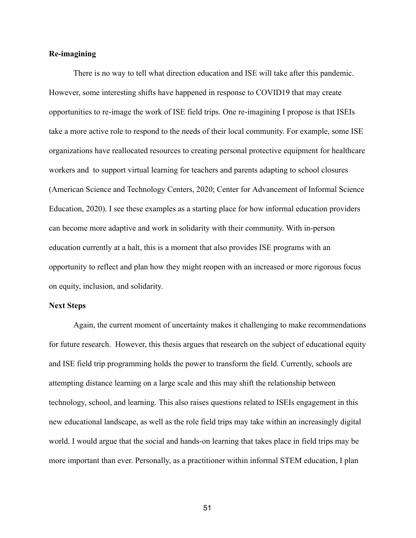#### **Re-imagining**

There is no way to tell what direction education and ISE will take after this pandemic. However, some interesting shifts have happened in response to COVID19 that may create opportunities to re-image the work of ISE field trips. One re-imagining I propose is that ISEIs take a more active role to respond to the needs of their local community. For example, some ISE organizations have reallocated resources to creating personal protective equipment for healthcare workers and to support virtual learning for teachers and parents adapting to school closures ( American Science and Technology Centers, 2020; Center for Advancement of Informal Science Education, 2020). I see these examples as a starting place for how informal education providers can become more adaptive and work in solidarity with their community. With in-person education currently at a halt, this is a moment that also provides ISE programs with an opportunity to reflect and plan how they might reopen with an increased or more rigorous focus on equity, inclusion, and solidarity.

#### **Next Steps**

Again, the current moment of uncertainty makes it challenging to make recommendations for future research. However, this thesis argues that research on the subject of educational equity and ISE field trip programming holds the power to transform the field. Currently, schools are attempting distance learning on a large scale and this may shift the relationship between technology, school, and learning. This also raises questions related to ISEIs engagement in this new educational landscape, as well as the role field trips may take within an increasingly digital world. I would argue that the social and hands-on learning that takes place in field trips may be more important than ever. Personally, as a practitioner within informal STEM education, I plan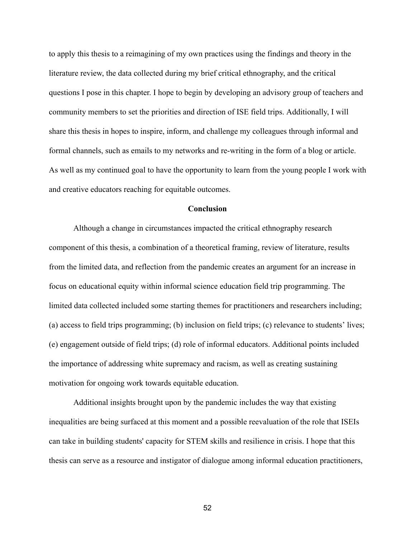to apply this thesis to a reimagining of my own practices using the findings and theory in the literature review, the data collected during my brief critical ethnography, and the critical questions I pose in this chapter. I hope to begin by developing an advisory group of teachers and community members to set the priorities and direction of ISE field trips. Additionally, I will share this thesis in hopes to inspire, inform, and challenge my colleagues through informal and formal channels, such as emails to my networks and re-writing in the form of a blog or article. As well as my continued goal to have the opportunity to learn from the young people I work with and creative educators reaching for equitable outcomes.

#### **Conclusion**

Although a change in circumstances impacted the critical ethnography research component of this thesis, a combination of a theoretical framing, review of literature, results from the limited data, and reflection from the pandemic creates an argument for an increase in focus on educational equity within informal science education field trip programming. The limited data collected included some starting themes for practitioners and researchers including; (a) access to field trips programming; (b) inclusion on field trips; (c) relevance to students' lives; (e) engagement outside of field trips; (d) role of informal educators. Additional points included the importance of addressing white supremacy and racism, as well as creating sustaining motivation for ongoing work towards equitable education.

Additional insights brought upon by the pandemic includes the way that existing inequalities are being surfaced at this moment and a possible reevaluation of the role that ISEIs can take in building students' capacity for STEM skills and resilience in crisis. I hope that this thesis can serve as a resource and instigator of dialogue among informal education practitioners,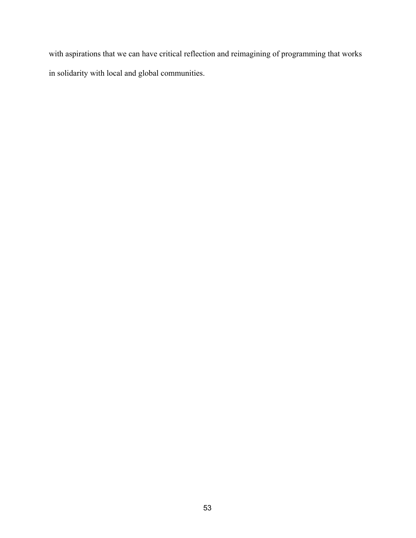with aspirations that we can have critical reflection and reimagining of programming that works in solidarity with local and global communities.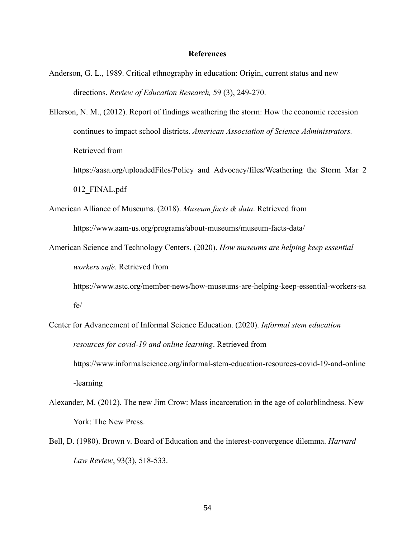#### **References**

Anderson, G. L., 1989. Critical ethnography in education: Origin, current status and new directions. *Review of Education Research,* 59 (3), 249-270.

Ellerson, N. M., (2012). Report of findings weathering the storm: How the economic recession continues to impact school districts. *American Association of Science Administrators.*  Retrieved from

https://aasa.org/uploadedFiles/Policy and Advocacy/files/Weathering the Storm Mar 2 012\_FINAL.pdf

- American Alliance of Museums. (2018). *Museum facts & data* . Retrieved from https://www.aam-us.org/programs/about-museums/museum-facts-data/
- American Science and Technology Centers. (2020). *How museums are helping keep essential workers safe* . Retrieved from

[https://www.astc.org/member-news/how-museums-are-helping-keep-essential-workers-sa](https://www.astc.org/member-news/how-museums-are-helping-keep-essential-workers-safe/) [fe/](https://www.astc.org/member-news/how-museums-are-helping-keep-essential-workers-safe/) 

- Center for Advancement of Informal Science Education. (2020). *Informal stem education resources for covid-19 and online learning.* Retrieved from [https://www.informalscience.org/informal-stem-education-resources-covid-19-and-online](https://www.informalscience.org/informal-stem-education-resources-covid-19-and-online-learning)  [-learning](https://www.informalscience.org/informal-stem-education-resources-covid-19-and-online-learning)
- Alexander, M. (2012). The new Jim Crow: Mass incarceration in the age of colorblindness. New York: The New Press.
- [Bell, D. \(1980\). Brown v. Board of Education and the interest-convergence dilemma.](https://moodle.riseforracialjustice.org/pluginfile.php/1878/course/section/97/Bells%20Interest%20Convergence.pdf) *[Harvard](https://moodle.riseforracialjustice.org/pluginfile.php/1878/course/section/97/Bells%20Interest%20Convergence.pdf)  [Law Review](https://moodle.riseforracialjustice.org/pluginfile.php/1878/course/section/97/Bells%20Interest%20Convergence.pdf)* [, 93\(3\), 518-533.](https://moodle.riseforracialjustice.org/pluginfile.php/1878/course/section/97/Bells%20Interest%20Convergence.pdf)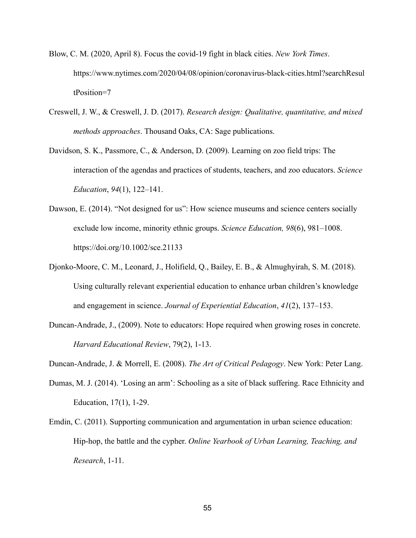- Blow, C. M. (2020, April 8). Focus the covid-19 fight in black cities. *New York Times* . [https://www.nytimes.com/2020/04/08/opinion/coronavirus-black-cities.html?searchResul](https://www.nytimes.com/2020/04/08/opinion/coronavirus-black-cities.html?searchResultPosition=7)  [tPosition=7](https://www.nytimes.com/2020/04/08/opinion/coronavirus-black-cities.html?searchResultPosition=7)
- Creswell, J. W., & Creswell, J. D. (2017). *Research design: Qualitative, quantitative, and mixed methods approaches* . Thousand Oaks, CA: Sage publications.
- Davidson, S. K., Passmore, C., & Anderson, D. (2009). Learning on zoo field trips: The interaction of the agendas and practices of students, teachers, and zoo educators. *Science Education*, 94(1), 122–141.
- Dawson, E. (2014). "Not designed for us": How science museums and science centers socially exclude low income, minority ethnic groups. *Science Education*, 98(6), 981–1008. https://doi.org/10.1002/sce.21133
- Djonko-Moore, C. M., Leonard, J., Holifield, Q., Bailey, E. B., & Almughyirah, S. M. (2018). Using culturally relevant experiential education to enhance urban children's knowledge and engagement in science. *Journal of Experiential Education*, 41(2), 137–153.
- Duncan-Andrade, J., (2009). Note to educators: Hope required when growing roses in concrete. *Harvard Educational Review* , 79(2), 1-13.

Duncan-Andrade, J. & Morrell, E. (2008). *The Art of Critical Pedagogy* . New York: Peter Lang.

- Dumas, M. J. (2014). 'Losing an arm': Schooling as a site of black suffering. Race Ethnicity and Education, 17(1), 1-29.
- Emdin, C. (2011). Supporting communication and argumentation in urban science education: Hip-hop, the battle and the cypher. *Online Yearbook of Urban Learning, Teaching, and Research* , 1-11.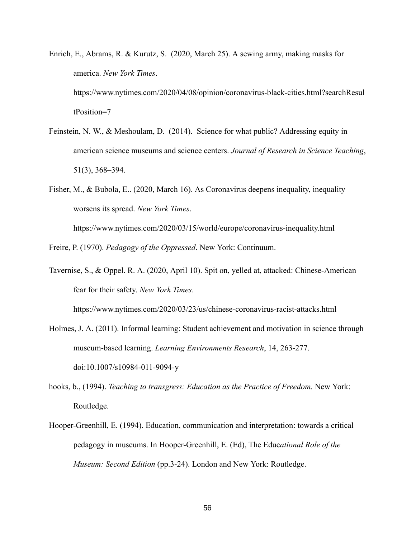- Enrich, E., Abrams, R. & Kurutz, S. (2020, March 25). A sewing army, making masks for america. *New York Times* . [https://www.nytimes.com/2020/04/08/opinion/coronavirus-black-cities.html?searchResul](https://www.nytimes.com/2020/04/08/opinion/coronavirus-black-cities.html?searchResultPosition=7)  [tPosition=7](https://www.nytimes.com/2020/04/08/opinion/coronavirus-black-cities.html?searchResultPosition=7)
- Feinstein, N. W., & Meshoulam, D. (2014). Science for what public? Addressing equity in american science museums and science centers. *Journal of Research in Science Teaching* , 51(3), 368–394.
- Fisher, M., & Bubola, E.. (2020, March 16). As Coronavirus deepens inequality, inequality worsens its spread. *New York Times* .

<https://www.nytimes.com/2020/03/15/world/europe/coronavirus-inequality.html>

Freire, P. (1970). *Pedagogy of the Oppressed* . New York: Continuum.

Tavernise, S., & Oppel. R. A. (2020, April 10). Spit on, yelled at, attacked: Chinese-American fear for their safety. *New York Times* .

<https://www.nytimes.com/2020/03/23/us/chinese-coronavirus-racist-attacks.html>

- Holmes, J. A. (2011). Informal learning: Student achievement and motivation in science through museum-based learning. *Learning Environments Research* , 14, 263-277. doi:10.1007/s10984-011-9094-y
- hooks, b., (1994). *Teaching to transgress: Education as the Practice of Freedom*. New York: Routledge.
- Hooper-Greenhill, E. (1994). Education, communication and interpretation: towards a critical pedagogy in museums. In Hooper-Greenhill, E. (Ed), The Educ *ational Role of the Museum: Second Edition* (pp.3-24). London and New York: Routledge.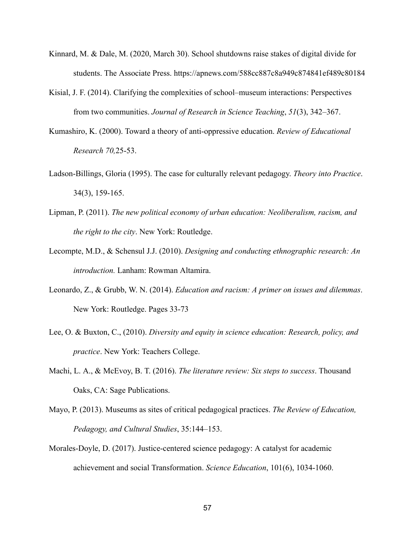- Kinnard, M. & Dale, M. (2020, March 30). School shutdowns raise stakes of digital divide for students. The Associate Press.<https://apnews.com/588cc887c8a949c874841ef489c80184>
- Kisial, J. F. (2014). Clarifying the complexities of school–museum interactions: Perspectives from two communities. *Journal of Research in Science Teaching* , *51* (3), 342–367.
- Kumashiro, K. (2000). Toward a theory of anti-oppressive education. *Review of Educational Research 70,* 25-53.
- Ladson-Billings, Gloria (1995). The case for culturally relevant pedagogy. *Theory into Practice* . 34(3), 159-165.
- Lipman, P. (2011). *The new political economy of urban education: Neoliberalism, racism, and the right to the city* . New York: Routledge.
- Lecompte, M.D., & Schensul J.J. (2010). *Designing and conducting ethnographic research: An introduction.* Lanham: Rowman Altamira.
- Leonardo, Z., & Grubb, W. N. (2014). *Education and racism: A primer on issues and dilemmas* . New York: Routledge. Pages 33-73
- Lee, O. & Buxton, C., (2010). *Diversity and equity in science education: Research, policy, and practice* . New York: Teachers College.
- Machi, L. A., & McEvoy, B. T. (2016). *The literature review: Six steps to success* . Thousand Oaks, CA: Sage Publications.
- Mayo, P. (2013). Museums as sites of critical pedagogical practices. *The Review of Education, Pedagogy, and Cultural Studies* , 35:144–153.
- Morales-Doyle, D. (2017). Justice-centered science pedagogy: A catalyst for academic achievement and social Transformation. *Science Education* , 101(6), 1034-1060.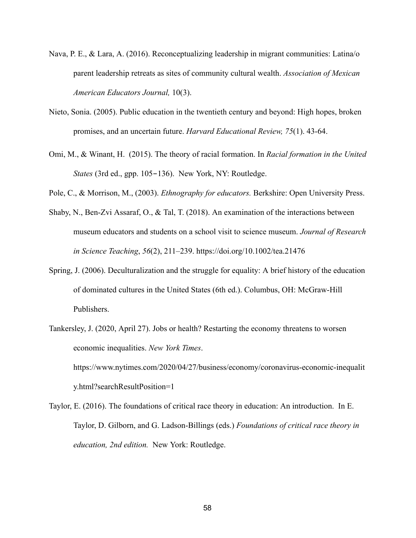- Nava, P. E., & Lara, A. (2016). Reconceptualizing leadership in migrant communities: Latina/o parent leadership retreats as sites of community cultural wealth. *Association of Mexican American Educators Journal,* 10(3).
- Nieto, Sonia. (2005). Public education in the twentieth century and beyond: High hopes, broken promises, and an uncertain future. *Harvard Educational Review, 75* (1). 43-64.
- Omi, M., & Winant, H. (2015). The theory of racial formation. In *Racial formation in the United States* (3rd ed., gpp. 105–136). New York, NY: Routledge.

Pole, C., & Morrison, M., (2003). *Ethnography for educators.* Berkshire: Open University Press.

- Shaby, N., Ben-Zvi Assaraf, O., & Tal, T. (2018). An examination of the interactions between museum educators and students on a school visit to science museum. *Journal of Research in Science Teaching* , *56* (2), 211–239.<https://doi.org/10.1002/tea.21476>
- Spring, J. (2006). Deculturalization and the struggle for equality: A brief history of the education of dominated cultures in the United States (6th ed.). Columbus, OH: McGraw-Hill Publishers.
- Tankersley, J. (2020, April 27). Jobs or health? Restarting the economy threatens to worsen economic inequalities. *New York Times* . [https://www.nytimes.com/2020/04/27/business/economy/coronavirus-economic-inequalit](https://www.nytimes.com/2020/04/27/business/economy/coronavirus-economic-inequality.html?searchResultPosition=1)  [y.html?searchResultPosition=1](https://www.nytimes.com/2020/04/27/business/economy/coronavirus-economic-inequality.html?searchResultPosition=1)
- Taylor, E. (2016). The foundations of critical race theory in education: An introduction. In E. Taylor, D. Gilborn, and G. Ladson-Billings (eds.) *Foundations of critical race theory in education, 2nd edition.* New York: Routledge.